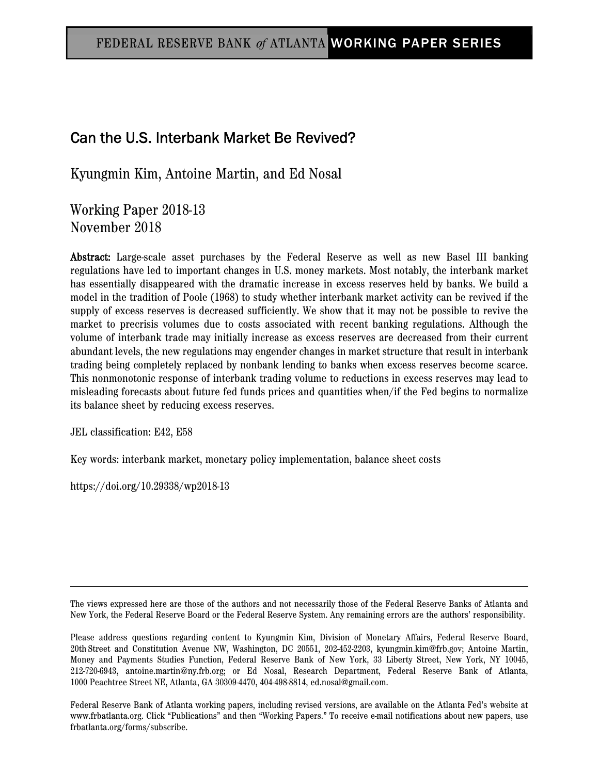# Can the U.S. Interbank Market Be Revived?

Kyungmin Kim, Antoine Martin, and Ed Nosal

Working Paper 2018-13 November 2018

Abstract: Large-scale asset purchases by the Federal Reserve as well as new Basel III banking regulations have led to important changes in U.S. money markets. Most notably, the interbank market has essentially disappeared with the dramatic increase in excess reserves held by banks. We build a model in the tradition of Poole (1968) to study whether interbank market activity can be revived if the supply of excess reserves is decreased sufficiently. We show that it may not be possible to revive the market to precrisis volumes due to costs associated with recent banking regulations. Although the volume of interbank trade may initially increase as excess reserves are decreased from their current abundant levels, the new regulations may engender changes in market structure that result in interbank trading being completely replaced by nonbank lending to banks when excess reserves become scarce. This nonmonotonic response of interbank trading volume to reductions in excess reserves may lead to misleading forecasts about future fed funds prices and quantities when/if the Fed begins to normalize its balance sheet by reducing excess reserves.

JEL classification: E42, E58

Key words: interbank market, monetary policy implementation, balance sheet costs

https://doi.org/10.29338/wp2018-13

The views expressed here are those of the authors and not necessarily those of the Federal Reserve Banks of Atlanta and New York, the Federal Reserve Board or the Federal Reserve System. Any remaining errors are the authors' responsibility.

Please address questions regarding content to Kyungmin Kim, Division of Monetary Affairs, Federal Reserve Board, 20th Street and Constitution Avenue NW, Washington, DC 20551, 202-452-2203, kyungmin.kim@frb.gov; Antoine Martin, Money and Payments Studies Function, Federal Reserve Bank of New York, 33 Liberty Street, New York, NY 10045, 212-720-6943, antoine.martin@ny.frb.org; or Ed Nosal, Research Department, Federal Reserve Bank of Atlanta, 1000 Peachtree Street NE, Atlanta, GA 30309-4470, 404-498-8814, ed.nosal@gmail.com.

Federal Reserve Bank of Atlanta working papers, including revised versions, are available on the Atlanta Fed's website at www.frbatlanta.org. Click "Publications" and then "Working Papers." To receive e-mail notifications about new papers, use frbatlanta.org/forms/subscribe.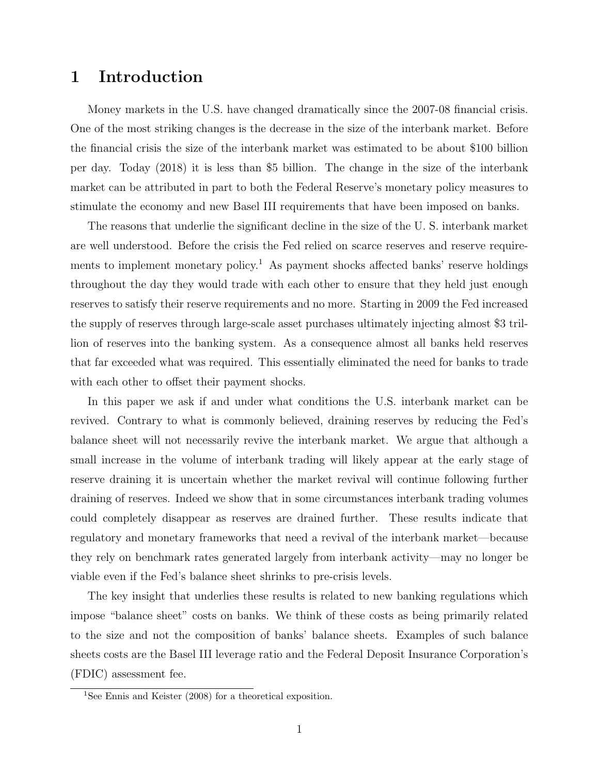# 1 Introduction

Money markets in the U.S. have changed dramatically since the 2007-08 financial crisis. One of the most striking changes is the decrease in the size of the interbank market. Before the financial crisis the size of the interbank market was estimated to be about \$100 billion per day. Today (2018) it is less than \$5 billion. The change in the size of the interbank market can be attributed in part to both the Federal Reserve's monetary policy measures to stimulate the economy and new Basel III requirements that have been imposed on banks.

The reasons that underlie the significant decline in the size of the U. S. interbank market are well understood. Before the crisis the Fed relied on scarce reserves and reserve requirements to implement monetary policy.<sup>1</sup> As payment shocks affected banks' reserve holdings throughout the day they would trade with each other to ensure that they held just enough reserves to satisfy their reserve requirements and no more. Starting in 2009 the Fed increased the supply of reserves through large-scale asset purchases ultimately injecting almost \$3 trillion of reserves into the banking system. As a consequence almost all banks held reserves that far exceeded what was required. This essentially eliminated the need for banks to trade with each other to offset their payment shocks.

In this paper we ask if and under what conditions the U.S. interbank market can be revived. Contrary to what is commonly believed, draining reserves by reducing the Fed's balance sheet will not necessarily revive the interbank market. We argue that although a small increase in the volume of interbank trading will likely appear at the early stage of reserve draining it is uncertain whether the market revival will continue following further draining of reserves. Indeed we show that in some circumstances interbank trading volumes could completely disappear as reserves are drained further. These results indicate that regulatory and monetary frameworks that need a revival of the interbank market—because they rely on benchmark rates generated largely from interbank activity—may no longer be viable even if the Fed's balance sheet shrinks to pre-crisis levels.

The key insight that underlies these results is related to new banking regulations which impose "balance sheet" costs on banks. We think of these costs as being primarily related to the size and not the composition of banks' balance sheets. Examples of such balance sheets costs are the Basel III leverage ratio and the Federal Deposit Insurance Corporation's (FDIC) assessment fee.

<sup>&</sup>lt;sup>1</sup>See Ennis and Keister (2008) for a theoretical exposition.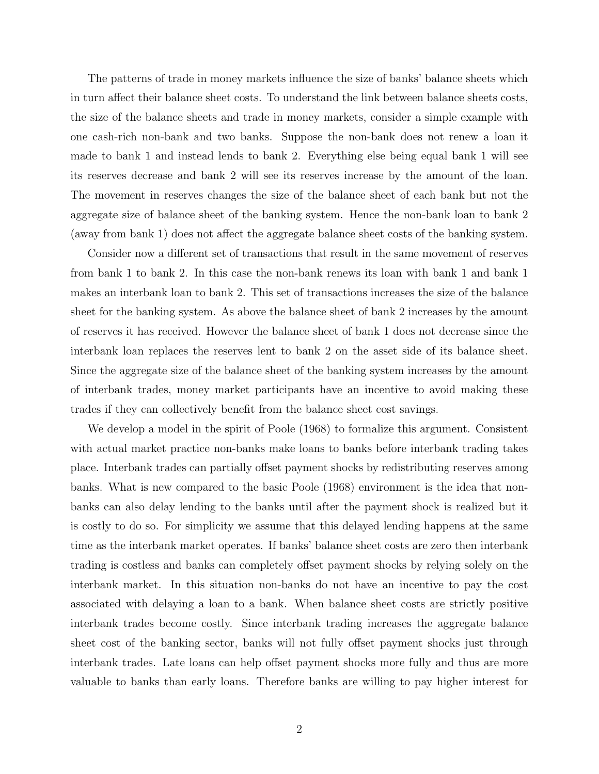The patterns of trade in money markets influence the size of banks' balance sheets which in turn affect their balance sheet costs. To understand the link between balance sheets costs, the size of the balance sheets and trade in money markets, consider a simple example with one cash-rich non-bank and two banks. Suppose the non-bank does not renew a loan it made to bank 1 and instead lends to bank 2. Everything else being equal bank 1 will see its reserves decrease and bank 2 will see its reserves increase by the amount of the loan. The movement in reserves changes the size of the balance sheet of each bank but not the aggregate size of balance sheet of the banking system. Hence the non-bank loan to bank 2 (away from bank 1) does not affect the aggregate balance sheet costs of the banking system.

Consider now a different set of transactions that result in the same movement of reserves from bank 1 to bank 2. In this case the non-bank renews its loan with bank 1 and bank 1 makes an interbank loan to bank 2. This set of transactions increases the size of the balance sheet for the banking system. As above the balance sheet of bank 2 increases by the amount of reserves it has received. However the balance sheet of bank 1 does not decrease since the interbank loan replaces the reserves lent to bank 2 on the asset side of its balance sheet. Since the aggregate size of the balance sheet of the banking system increases by the amount of interbank trades, money market participants have an incentive to avoid making these trades if they can collectively benefit from the balance sheet cost savings.

We develop a model in the spirit of Poole (1968) to formalize this argument. Consistent with actual market practice non-banks make loans to banks before interbank trading takes place. Interbank trades can partially offset payment shocks by redistributing reserves among banks. What is new compared to the basic Poole (1968) environment is the idea that nonbanks can also delay lending to the banks until after the payment shock is realized but it is costly to do so. For simplicity we assume that this delayed lending happens at the same time as the interbank market operates. If banks' balance sheet costs are zero then interbank trading is costless and banks can completely offset payment shocks by relying solely on the interbank market. In this situation non-banks do not have an incentive to pay the cost associated with delaying a loan to a bank. When balance sheet costs are strictly positive interbank trades become costly. Since interbank trading increases the aggregate balance sheet cost of the banking sector, banks will not fully offset payment shocks just through interbank trades. Late loans can help offset payment shocks more fully and thus are more valuable to banks than early loans. Therefore banks are willing to pay higher interest for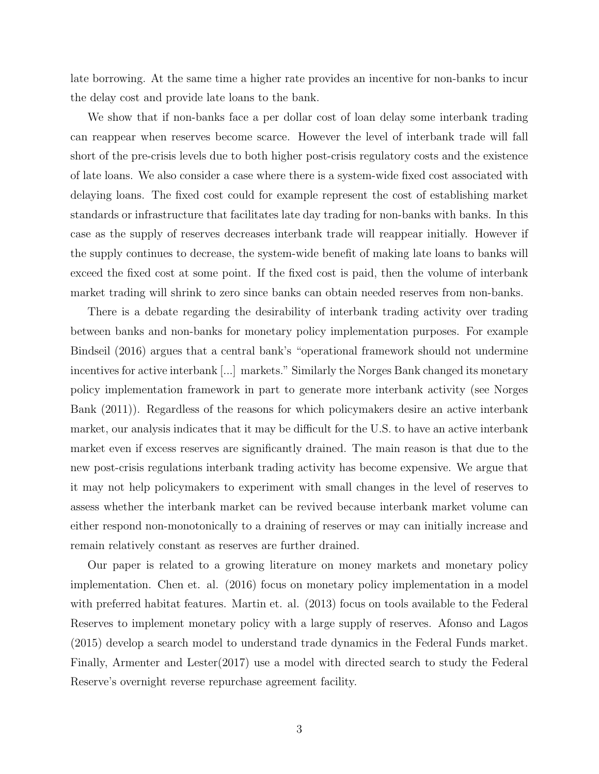late borrowing. At the same time a higher rate provides an incentive for non-banks to incur the delay cost and provide late loans to the bank.

We show that if non-banks face a per dollar cost of loan delay some interbank trading can reappear when reserves become scarce. However the level of interbank trade will fall short of the pre-crisis levels due to both higher post-crisis regulatory costs and the existence of late loans. We also consider a case where there is a system-wide fixed cost associated with delaying loans. The fixed cost could for example represent the cost of establishing market standards or infrastructure that facilitates late day trading for non-banks with banks. In this case as the supply of reserves decreases interbank trade will reappear initially. However if the supply continues to decrease, the system-wide benefit of making late loans to banks will exceed the fixed cost at some point. If the fixed cost is paid, then the volume of interbank market trading will shrink to zero since banks can obtain needed reserves from non-banks.

There is a debate regarding the desirability of interbank trading activity over trading between banks and non-banks for monetary policy implementation purposes. For example Bindseil (2016) argues that a central bank's "operational framework should not undermine incentives for active interbank [...] markets." Similarly the Norges Bank changed its monetary policy implementation framework in part to generate more interbank activity (see Norges Bank (2011)). Regardless of the reasons for which policymakers desire an active interbank market, our analysis indicates that it may be difficult for the U.S. to have an active interbank market even if excess reserves are significantly drained. The main reason is that due to the new post-crisis regulations interbank trading activity has become expensive. We argue that it may not help policymakers to experiment with small changes in the level of reserves to assess whether the interbank market can be revived because interbank market volume can either respond non-monotonically to a draining of reserves or may can initially increase and remain relatively constant as reserves are further drained.

Our paper is related to a growing literature on money markets and monetary policy implementation. Chen et. al. (2016) focus on monetary policy implementation in a model with preferred habitat features. Martin et. al. (2013) focus on tools available to the Federal Reserves to implement monetary policy with a large supply of reserves. Afonso and Lagos (2015) develop a search model to understand trade dynamics in the Federal Funds market. Finally, Armenter and Lester(2017) use a model with directed search to study the Federal Reserve's overnight reverse repurchase agreement facility.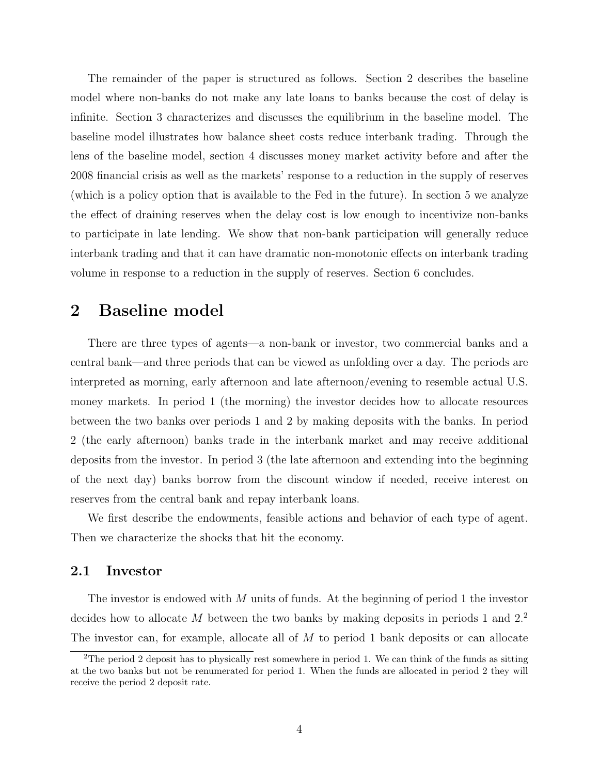The remainder of the paper is structured as follows. Section 2 describes the baseline model where non-banks do not make any late loans to banks because the cost of delay is infinite. Section 3 characterizes and discusses the equilibrium in the baseline model. The baseline model illustrates how balance sheet costs reduce interbank trading. Through the lens of the baseline model, section 4 discusses money market activity before and after the 2008 financial crisis as well as the markets' response to a reduction in the supply of reserves (which is a policy option that is available to the Fed in the future). In section 5 we analyze the effect of draining reserves when the delay cost is low enough to incentivize non-banks to participate in late lending. We show that non-bank participation will generally reduce interbank trading and that it can have dramatic non-monotonic effects on interbank trading volume in response to a reduction in the supply of reserves. Section 6 concludes.

# 2 Baseline model

There are three types of agents—a non-bank or investor, two commercial banks and a central bank—and three periods that can be viewed as unfolding over a day. The periods are interpreted as morning, early afternoon and late afternoon/evening to resemble actual U.S. money markets. In period 1 (the morning) the investor decides how to allocate resources between the two banks over periods 1 and 2 by making deposits with the banks. In period 2 (the early afternoon) banks trade in the interbank market and may receive additional deposits from the investor. In period 3 (the late afternoon and extending into the beginning of the next day) banks borrow from the discount window if needed, receive interest on reserves from the central bank and repay interbank loans.

We first describe the endowments, feasible actions and behavior of each type of agent. Then we characterize the shocks that hit the economy.

#### 2.1 Investor

The investor is endowed with M units of funds. At the beginning of period 1 the investor decides how to allocate  $M$  between the two banks by making deposits in periods 1 and  $2<sup>2</sup>$ . The investor can, for example, allocate all of  $M$  to period 1 bank deposits or can allocate

<sup>2</sup>The period 2 deposit has to physically rest somewhere in period 1. We can think of the funds as sitting at the two banks but not be renumerated for period 1. When the funds are allocated in period 2 they will receive the period 2 deposit rate.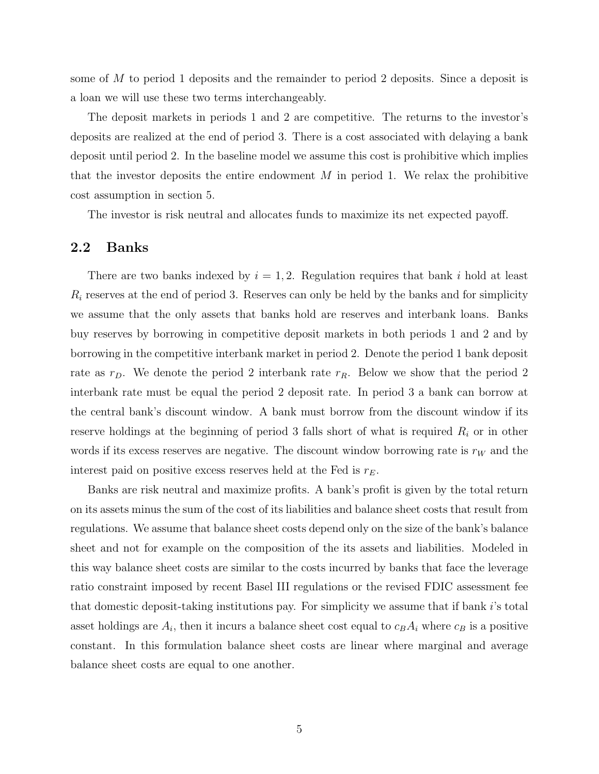some of M to period 1 deposits and the remainder to period 2 deposits. Since a deposit is a loan we will use these two terms interchangeably.

The deposit markets in periods 1 and 2 are competitive. The returns to the investor's deposits are realized at the end of period 3. There is a cost associated with delaying a bank deposit until period 2. In the baseline model we assume this cost is prohibitive which implies that the investor deposits the entire endowment  $M$  in period 1. We relax the prohibitive cost assumption in section 5.

The investor is risk neutral and allocates funds to maximize its net expected payoff.

#### 2.2 Banks

There are two banks indexed by  $i = 1, 2$ . Regulation requires that bank i hold at least  $R_i$  reserves at the end of period 3. Reserves can only be held by the banks and for simplicity we assume that the only assets that banks hold are reserves and interbank loans. Banks buy reserves by borrowing in competitive deposit markets in both periods 1 and 2 and by borrowing in the competitive interbank market in period 2. Denote the period 1 bank deposit rate as  $r_D$ . We denote the period 2 interbank rate  $r_R$ . Below we show that the period 2 interbank rate must be equal the period 2 deposit rate. In period 3 a bank can borrow at the central bank's discount window. A bank must borrow from the discount window if its reserve holdings at the beginning of period 3 falls short of what is required  $R_i$  or in other words if its excess reserves are negative. The discount window borrowing rate is  $r_W$  and the interest paid on positive excess reserves held at the Fed is  $r_E$ .

Banks are risk neutral and maximize profits. A bank's profit is given by the total return on its assets minus the sum of the cost of its liabilities and balance sheet costs that result from regulations. We assume that balance sheet costs depend only on the size of the bank's balance sheet and not for example on the composition of the its assets and liabilities. Modeled in this way balance sheet costs are similar to the costs incurred by banks that face the leverage ratio constraint imposed by recent Basel III regulations or the revised FDIC assessment fee that domestic deposit-taking institutions pay. For simplicity we assume that if bank i's total asset holdings are  $A_i$ , then it incurs a balance sheet cost equal to  $c_B A_i$  where  $c_B$  is a positive constant. In this formulation balance sheet costs are linear where marginal and average balance sheet costs are equal to one another.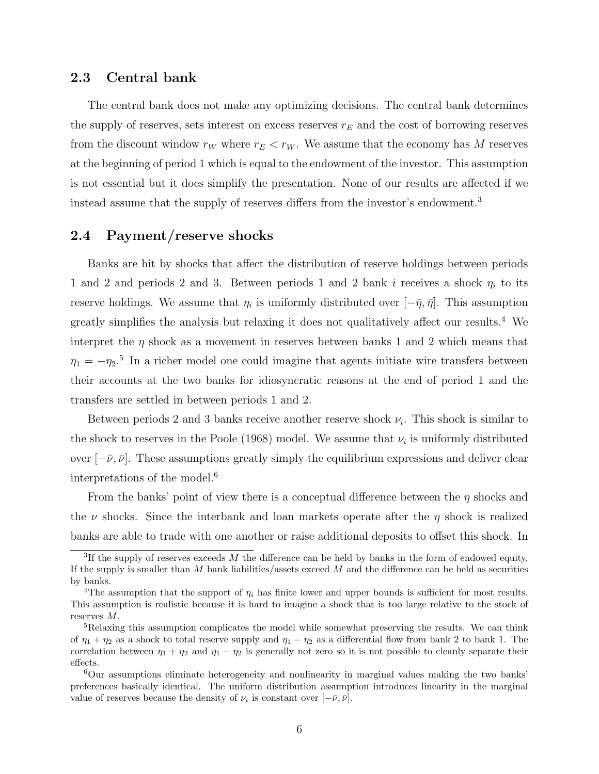#### 2.3 Central bank

The central bank does not make any optimizing decisions. The central bank determines the supply of reserves, sets interest on excess reserves  $r_E$  and the cost of borrowing reserves from the discount window  $r_W$  where  $r_E < r_W$ . We assume that the economy has M reserves at the beginning of period 1 which is equal to the endowment of the investor. This assumption is not essential but it does simplify the presentation. None of our results are affected if we instead assume that the supply of reserves differs from the investor's endowment.<sup>3</sup>

## 2.4 Payment/reserve shocks

Banks are hit by shocks that affect the distribution of reserve holdings between periods 1 and 2 and periods 2 and 3. Between periods 1 and 2 bank i receives a shock  $\eta_i$  to its reserve holdings. We assume that  $\eta_i$  is uniformly distributed over  $[-\bar{\eta}, \bar{\eta}]$ . This assumption greatly simplifies the analysis but relaxing it does not qualitatively affect our results.<sup>4</sup> We interpret the  $\eta$  shock as a movement in reserves between banks 1 and 2 which means that  $\eta_1 = -\eta_2$ <sup>5</sup> In a richer model one could imagine that agents initiate wire transfers between their accounts at the two banks for idiosyncratic reasons at the end of period 1 and the transfers are settled in between periods 1 and 2.

Between periods 2 and 3 banks receive another reserve shock  $\nu_i$ . This shock is similar to the shock to reserves in the Poole (1968) model. We assume that  $\nu_i$  is uniformly distributed over  $[-\bar{\nu}, \bar{\nu}]$ . These assumptions greatly simply the equilibrium expressions and deliver clear interpretations of the model.<sup>6</sup>

From the banks' point of view there is a conceptual difference between the  $\eta$  shocks and the  $\nu$  shocks. Since the interbank and loan markets operate after the  $\eta$  shock is realized banks are able to trade with one another or raise additional deposits to offset this shock. In

<sup>&</sup>lt;sup>3</sup>If the supply of reserves exceeds  $M$  the difference can be held by banks in the form of endowed equity. If the supply is smaller than  $M$  bank liabilities/assets exceed  $M$  and the difference can be held as securities by banks.

<sup>&</sup>lt;sup>4</sup>The assumption that the support of  $\eta_i$  has finite lower and upper bounds is sufficient for most results. This assumption is realistic because it is hard to imagine a shock that is too large relative to the stock of reserves M.

<sup>&</sup>lt;sup>5</sup>Relaxing this assumption complicates the model while somewhat preserving the results. We can think of  $\eta_1 + \eta_2$  as a shock to total reserve supply and  $\eta_1 - \eta_2$  as a differential flow from bank 2 to bank 1. The correlation between  $\eta_1 + \eta_2$  and  $\eta_1 - \eta_2$  is generally not zero so it is not possible to cleanly separate their effects.

<sup>6</sup>Our assumptions eliminate heterogeneity and nonlinearity in marginal values making the two banks' preferences basically identical. The uniform distribution assumption introduces linearity in the marginal value of reserves because the density of  $\nu_i$  is constant over  $[-\bar{\nu}, \bar{\nu}]$ .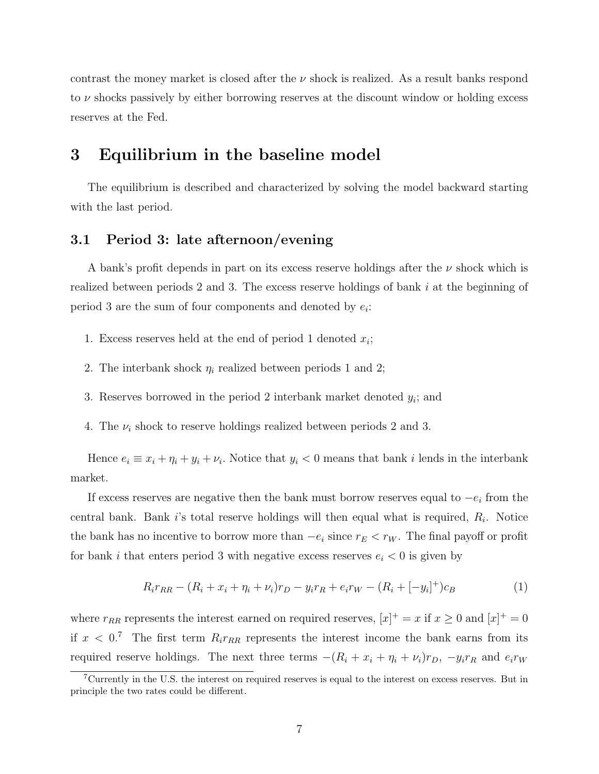contrast the money market is closed after the  $\nu$  shock is realized. As a result banks respond to  $\nu$  shocks passively by either borrowing reserves at the discount window or holding excess reserves at the Fed.

# 3 Equilibrium in the baseline model

The equilibrium is described and characterized by solving the model backward starting with the last period.

## 3.1 Period 3: late afternoon/evening

A bank's profit depends in part on its excess reserve holdings after the  $\nu$  shock which is realized between periods 2 and 3. The excess reserve holdings of bank i at the beginning of period 3 are the sum of four components and denoted by  $e_i$ :

- 1. Excess reserves held at the end of period 1 denoted  $x_i$ ;
- 2. The interbank shock  $\eta_i$  realized between periods 1 and 2;
- 3. Reserves borrowed in the period 2 interbank market denoted  $y_i$ ; and
- 4. The  $\nu_i$  shock to reserve holdings realized between periods 2 and 3.

Hence  $e_i \equiv x_i + \eta_i + y_i + \nu_i$ . Notice that  $y_i < 0$  means that bank i lends in the interbank market.

If excess reserves are negative then the bank must borrow reserves equal to  $-e_i$  from the central bank. Bank i's total reserve holdings will then equal what is required,  $R_i$ . Notice the bank has no incentive to borrow more than  $-e_i$  since  $r_E < r_W$ . The final payoff or profit for bank i that enters period 3 with negative excess reserves  $e_i < 0$  is given by

$$
R_i r_{RR} - (R_i + x_i + \eta_i + \nu_i) r_D - y_i r_R + e_i r_W - (R_i + [-y_i]^+) c_B \tag{1}
$$

where  $r_{RR}$  represents the interest earned on required reserves,  $[x]^+ = x$  if  $x \ge 0$  and  $[x]^+ = 0$ if  $x < 0$ .<sup>7</sup> The first term  $R_i r_{RR}$  represents the interest income the bank earns from its required reserve holdings. The next three terms  $-(R_i + x_i + \eta_i + \nu_i)r_D$ ,  $-y_i r_R$  and  $e_i r_W$ 

<sup>7</sup>Currently in the U.S. the interest on required reserves is equal to the interest on excess reserves. But in principle the two rates could be different.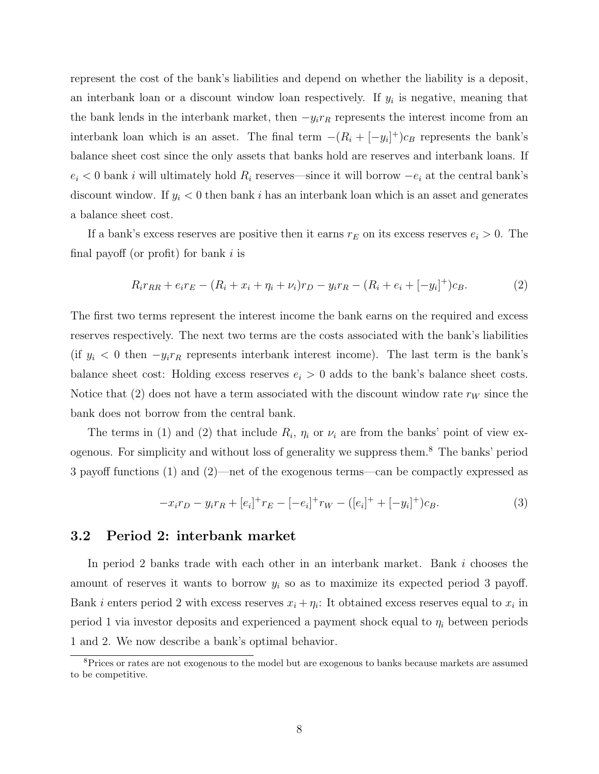represent the cost of the bank's liabilities and depend on whether the liability is a deposit, an interbank loan or a discount window loan respectively. If  $y_i$  is negative, meaning that the bank lends in the interbank market, then  $-y_i r_R$  represents the interest income from an interbank loan which is an asset. The final term  $-(R_i + [-y_i]^+)c_B$  represents the bank's balance sheet cost since the only assets that banks hold are reserves and interbank loans. If  $e_i$  < 0 bank i will ultimately hold  $R_i$  reserves—since it will borrow  $-e_i$  at the central bank's discount window. If  $y_i < 0$  then bank i has an interbank loan which is an asset and generates a balance sheet cost.

If a bank's excess reserves are positive then it earns  $r_E$  on its excess reserves  $e_i > 0$ . The final payoff (or profit) for bank  $i$  is

$$
R_i r_{RR} + e_i r_E - (R_i + x_i + \eta_i + \nu_i) r_D - y_i r_R - (R_i + e_i + [-y_i]^+) c_B.
$$
 (2)

The first two terms represent the interest income the bank earns on the required and excess reserves respectively. The next two terms are the costs associated with the bank's liabilities (if  $y_i < 0$  then  $-y_i r_R$  represents interbank interest income). The last term is the bank's balance sheet cost: Holding excess reserves  $e_i > 0$  adds to the bank's balance sheet costs. Notice that (2) does not have a term associated with the discount window rate  $r_W$  since the bank does not borrow from the central bank.

The terms in (1) and (2) that include  $R_i$ ,  $\eta_i$  or  $\nu_i$  are from the banks' point of view exogenous. For simplicity and without loss of generality we suppress them.<sup>8</sup> The banks' period 3 payoff functions (1) and (2)—net of the exogenous terms—can be compactly expressed as

$$
-x_i r_D - y_i r_R + [e_i]^+ r_E - [-e_i]^+ r_W - ([e_i]^+ + [-y_i]^+) c_B.
$$
\n(3)

## 3.2 Period 2: interbank market

In period 2 banks trade with each other in an interbank market. Bank i chooses the amount of reserves it wants to borrow  $y_i$  so as to maximize its expected period 3 payoff. Bank *i* enters period 2 with excess reserves  $x_i + \eta_i$ : It obtained excess reserves equal to  $x_i$  in period 1 via investor deposits and experienced a payment shock equal to  $\eta_i$  between periods 1 and 2. We now describe a bank's optimal behavior.

<sup>&</sup>lt;sup>8</sup>Prices or rates are not exogenous to the model but are exogenous to banks because markets are assumed to be competitive.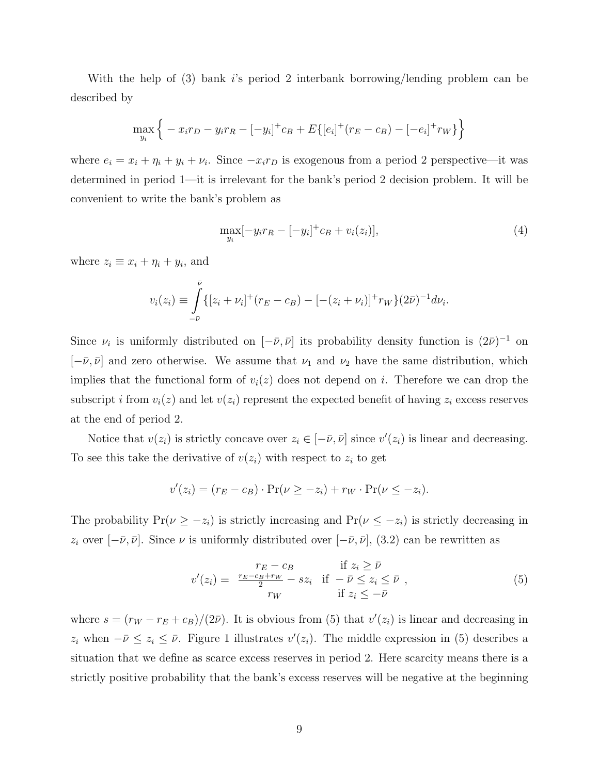With the help of (3) bank is period 2 interbank borrowing/lending problem can be described by

$$
\max_{y_i} \left\{ -x_i r_D - y_i r_R - [-y_i]^+ c_B + E\{ [e_i]^+(r_E - c_B) - [-e_i]^+ r_W \} \right\}
$$

where  $e_i = x_i + \eta_i + y_i + \nu_i$ . Since  $-x_i r_D$  is exogenous from a period 2 perspective—it was determined in period 1—it is irrelevant for the bank's period 2 decision problem. It will be convenient to write the bank's problem as

$$
\max_{y_i} [-y_i r_R - [-y_i]^+ c_B + v_i(z_i)], \tag{4}
$$

where  $z_i \equiv x_i + \eta_i + y_i$ , and

$$
v_i(z_i) \equiv \int_{-\bar{\nu}}^{\bar{\nu}} \{ [z_i + \nu_i]^+(r_E - c_B) - [-(z_i + \nu_i)]^+ r_W \} (2\bar{\nu})^{-1} d\nu_i.
$$

Since  $\nu_i$  is uniformly distributed on  $[-\bar{\nu}, \bar{\nu}]$  its probability density function is  $(2\bar{\nu})^{-1}$  on  $[-\bar{\nu}, \bar{\nu}]$  and zero otherwise. We assume that  $\nu_1$  and  $\nu_2$  have the same distribution, which implies that the functional form of  $v_i(z)$  does not depend on i. Therefore we can drop the subscript i from  $v_i(z)$  and let  $v(z_i)$  represent the expected benefit of having  $z_i$  excess reserves at the end of period 2.

Notice that  $v(z_i)$  is strictly concave over  $z_i \in [-\bar{\nu}, \bar{\nu}]$  since  $v'(z_i)$  is linear and decreasing. To see this take the derivative of  $v(z_i)$  with respect to  $z_i$  to get

$$
v'(zi) = (rE - cB) \cdot Pr(\nu \ge -zi) + rW \cdot Pr(\nu \le -zi).
$$

The probability  $Pr(\nu \ge -z_i)$  is strictly increasing and  $Pr(\nu \le -z_i)$  is strictly decreasing in  $z_i$  over  $[-\bar{\nu}, \bar{\nu}]$ . Since  $\nu$  is uniformly distributed over  $[-\bar{\nu}, \bar{\nu}]$ , (3.2) can be rewritten as

$$
v'(z_i) = \frac{r_E - c_B}{2} + sz_i \quad \text{if} \quad -\bar{\nu} \le z_i \le \bar{\nu} \tag{5}
$$
\n
$$
r_W \qquad \text{if} \quad z_i \le -\bar{\nu} \tag{5}
$$

where  $s = (r_W - r_E + c_B)/(2\bar{\nu})$ . It is obvious from (5) that  $v'(z_i)$  is linear and decreasing in  $z_i$  when  $-\bar{\nu} \leq z_i \leq \bar{\nu}$ . Figure 1 illustrates  $v'(z_i)$ . The middle expression in (5) describes a situation that we define as scarce excess reserves in period 2. Here scarcity means there is a strictly positive probability that the bank's excess reserves will be negative at the beginning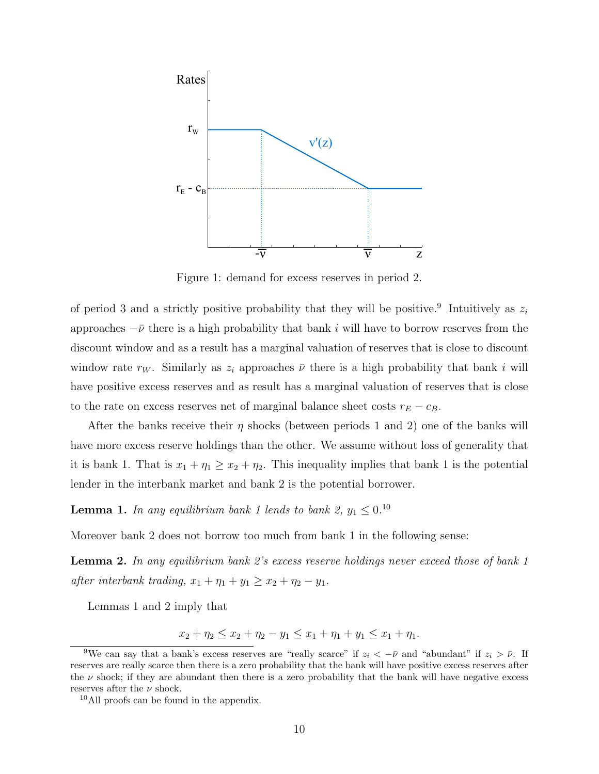

Figure 1: demand for excess reserves in period 2.

of period 3 and a strictly positive probability that they will be positive.<sup>9</sup> Intuitively as  $z_i$ approaches  $-\bar{\nu}$  there is a high probability that bank i will have to borrow reserves from the discount window and as a result has a marginal valuation of reserves that is close to discount window rate  $r_W$ . Similarly as  $z_i$  approaches  $\bar{\nu}$  there is a high probability that bank i will have positive excess reserves and as result has a marginal valuation of reserves that is close to the rate on excess reserves net of marginal balance sheet costs  $r_E - c_B$ .

After the banks receive their  $\eta$  shocks (between periods 1 and 2) one of the banks will have more excess reserve holdings than the other. We assume without loss of generality that it is bank 1. That is  $x_1 + \eta_1 \ge x_2 + \eta_2$ . This inequality implies that bank 1 is the potential lender in the interbank market and bank 2 is the potential borrower.

**Lemma 1.** In any equilibrium bank 1 lends to bank 2,  $y_1 \leq 0.10$ 

Moreover bank 2 does not borrow too much from bank 1 in the following sense:

**Lemma 2.** In any equilibrium bank 2's excess reserve holdings never exceed those of bank 1 after interbank trading,  $x_1 + \eta_1 + y_1 \ge x_2 + \eta_2 - y_1$ .

Lemmas 1 and 2 imply that

 $x_2 + \eta_2 \le x_2 + \eta_2 - y_1 \le x_1 + \eta_1 + y_1 \le x_1 + \eta_1.$ 

<sup>&</sup>lt;sup>9</sup>We can say that a bank's excess reserves are "really scarce" if  $z_i < -\bar{\nu}$  and "abundant" if  $z_i > \bar{\nu}$ . If reserves are really scarce then there is a zero probability that the bank will have positive excess reserves after the  $\nu$  shock; if they are abundant then there is a zero probability that the bank will have negative excess reserves after the  $\nu$  shock.

<sup>10</sup>All proofs can be found in the appendix.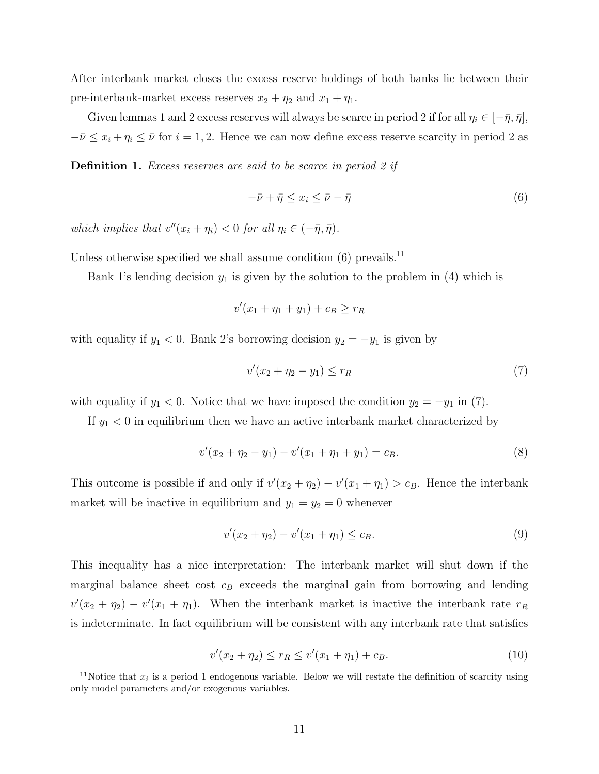After interbank market closes the excess reserve holdings of both banks lie between their pre-interbank-market excess reserves  $x_2 + \eta_2$  and  $x_1 + \eta_1$ .

Given lemmas 1 and 2 excess reserves will always be scarce in period 2 if for all  $\eta_i \in [-\bar{\eta}, \bar{\eta}],$  $-\bar{\nu} \leq x_i + \eta_i \leq \bar{\nu}$  for  $i = 1, 2$ . Hence we can now define excess reserve scarcity in period 2 as

**Definition 1.** Excess reserves are said to be scarce in period 2 if

$$
-\bar{\nu} + \bar{\eta} \le x_i \le \bar{\nu} - \bar{\eta}
$$
\n<sup>(6)</sup>

which implies that  $v''(x_i + \eta_i) < 0$  for all  $\eta_i \in (-\bar{\eta}, \bar{\eta}).$ 

Unless otherwise specified we shall assume condition  $(6)$  prevails.<sup>11</sup>

Bank 1's lending decision  $y_1$  is given by the solution to the problem in (4) which is

$$
v'(x_1 + \eta_1 + y_1) + c_B \ge r_R
$$

with equality if  $y_1 < 0$ . Bank 2's borrowing decision  $y_2 = -y_1$  is given by

$$
v'(x_2 + \eta_2 - y_1) \le r_R \tag{7}
$$

with equality if  $y_1 < 0$ . Notice that we have imposed the condition  $y_2 = -y_1$  in (7).

If  $y_1 < 0$  in equilibrium then we have an active interbank market characterized by

$$
v'(x_2 + \eta_2 - y_1) - v'(x_1 + \eta_1 + y_1) = c_B.
$$
\n(8)

This outcome is possible if and only if  $v'(x_2 + \eta_2) - v'(x_1 + \eta_1) > c_B$ . Hence the interbank market will be inactive in equilibrium and  $y_1 = y_2 = 0$  whenever

$$
v'(x_2 + \eta_2) - v'(x_1 + \eta_1) \le c_B.
$$
\n(9)

This inequality has a nice interpretation: The interbank market will shut down if the marginal balance sheet cost  $c_B$  exceeds the marginal gain from borrowing and lending  $v'(x_2 + \eta_2) - v'(x_1 + \eta_1)$ . When the interbank market is inactive the interbank rate  $r_R$ is indeterminate. In fact equilibrium will be consistent with any interbank rate that satisfies

$$
v'(x_2 + \eta_2) \le r_R \le v'(x_1 + \eta_1) + c_B. \tag{10}
$$

<sup>&</sup>lt;sup>11</sup>Notice that  $x_i$  is a period 1 endogenous variable. Below we will restate the definition of scarcity using only model parameters and/or exogenous variables.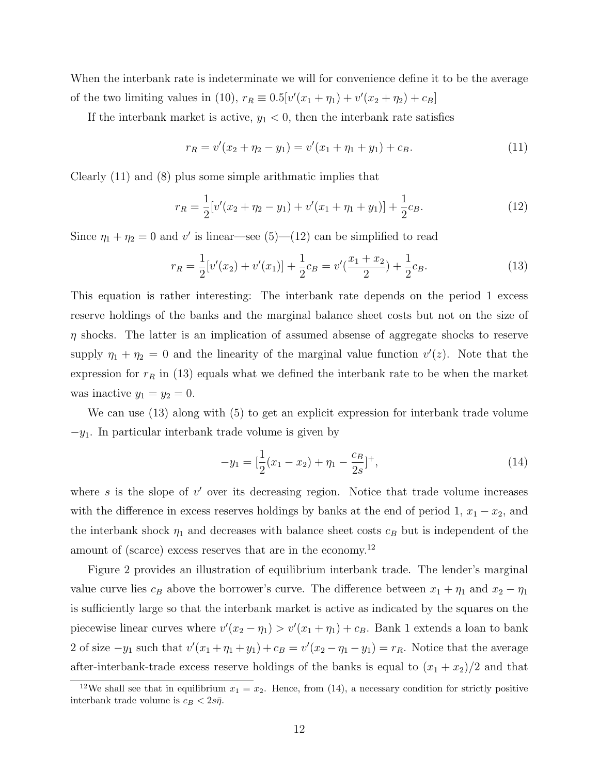When the interbank rate is indeterminate we will for convenience define it to be the average of the two limiting values in (10),  $r_R \equiv 0.5[v'(x_1 + \eta_1) + v'(x_2 + \eta_2) + c_B]$ 

If the interbank market is active,  $y_1 < 0$ , then the interbank rate satisfies

$$
r_R = v'(x_2 + \eta_2 - y_1) = v'(x_1 + \eta_1 + y_1) + c_B.
$$
\n(11)

Clearly (11) and (8) plus some simple arithmatic implies that

$$
r_R = \frac{1}{2} [v'(x_2 + \eta_2 - y_1) + v'(x_1 + \eta_1 + y_1)] + \frac{1}{2} c_B.
$$
 (12)

Since  $\eta_1 + \eta_2 = 0$  and v' is linear—see (5)—(12) can be simplified to read

$$
r_R = \frac{1}{2} [v'(x_2) + v'(x_1)] + \frac{1}{2} c_B = v'(\frac{x_1 + x_2}{2}) + \frac{1}{2} c_B.
$$
 (13)

This equation is rather interesting: The interbank rate depends on the period 1 excess reserve holdings of the banks and the marginal balance sheet costs but not on the size of  $\eta$  shocks. The latter is an implication of assumed absense of aggregate shocks to reserve supply  $\eta_1 + \eta_2 = 0$  and the linearity of the marginal value function  $v'(z)$ . Note that the expression for  $r_R$  in (13) equals what we defined the interbank rate to be when the market was inactive  $y_1 = y_2 = 0$ .

We can use (13) along with (5) to get an explicit expression for interbank trade volume  $-y_1$ . In particular interbank trade volume is given by

$$
-y_1 = \left[\frac{1}{2}(x_1 - x_2) + \eta_1 - \frac{c_B}{2s}\right]^+, \tag{14}
$$

where  $s$  is the slope of  $v'$  over its decreasing region. Notice that trade volume increases with the difference in excess reserves holdings by banks at the end of period 1,  $x_1 - x_2$ , and the interbank shock  $\eta_1$  and decreases with balance sheet costs  $c_B$  but is independent of the amount of (scarce) excess reserves that are in the economy.<sup>12</sup>

Figure 2 provides an illustration of equilibrium interbank trade. The lender's marginal value curve lies  $c_B$  above the borrower's curve. The difference between  $x_1 + \eta_1$  and  $x_2 - \eta_1$ is sufficiently large so that the interbank market is active as indicated by the squares on the piecewise linear curves where  $v'(x_2 - \eta_1) > v'(x_1 + \eta_1) + c_B$ . Bank 1 extends a loan to bank 2 of size  $-y_1$  such that  $v'(x_1 + \eta_1 + y_1) + c_B = v'(x_2 - \eta_1 - y_1) = r_R$ . Notice that the average after-interbank-trade excess reserve holdings of the banks is equal to  $(x_1 + x_2)/2$  and that

<sup>&</sup>lt;sup>12</sup>We shall see that in equilibrium  $x_1 = x_2$ . Hence, from (14), a necessary condition for strictly positive interbank trade volume is  $c_B < 2s\overline{\eta}$ .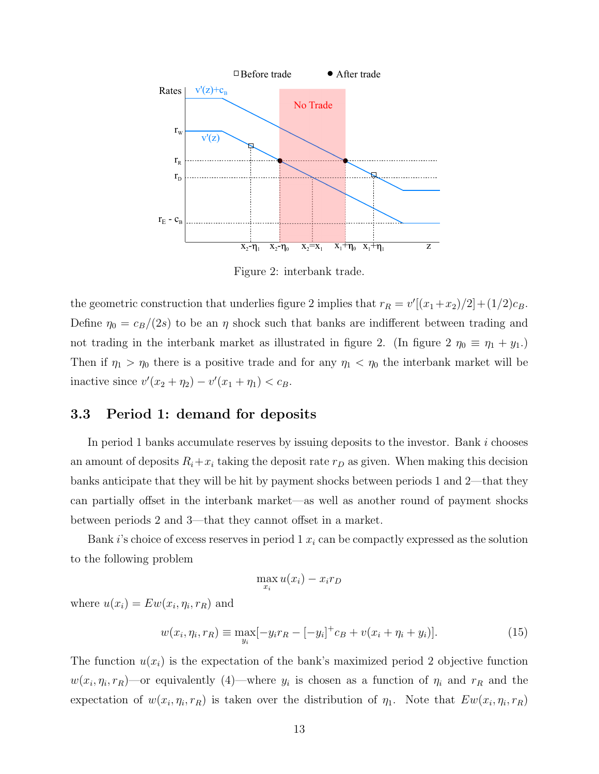

Figure 2: interbank trade.

the geometric construction that underlies figure 2 implies that  $r_R = v'[(x_1+x_2)/2] + (1/2)c_B$ . Define  $\eta_0 = c_B/(2s)$  to be an  $\eta$  shock such that banks are indifferent between trading and not trading in the interbank market as illustrated in figure 2. (In figure 2  $\eta_0 \equiv \eta_1 + y_1$ .) Then if  $\eta_1 > \eta_0$  there is a positive trade and for any  $\eta_1 < \eta_0$  the interbank market will be inactive since  $v'(x_2 + \eta_2) - v'(x_1 + \eta_1) < c_B$ .

#### 3.3 Period 1: demand for deposits

In period 1 banks accumulate reserves by issuing deposits to the investor. Bank  $i$  chooses an amount of deposits  $R_i + x_i$  taking the deposit rate  $r_D$  as given. When making this decision banks anticipate that they will be hit by payment shocks between periods 1 and 2—that they can partially offset in the interbank market—as well as another round of payment shocks between periods 2 and 3—that they cannot offset in a market.

Bank i's choice of excess reserves in period  $1 x_i$  can be compactly expressed as the solution to the following problem

$$
\max_{x_i} u(x_i) - x_i r_D
$$

where  $u(x_i) = E w(x_i, \eta_i, r_R)$  and

$$
w(x_i, \eta_i, r_R) \equiv \max_{y_i} [-y_i r_R - [-y_i]^+ c_B + v(x_i + \eta_i + y_i)]. \tag{15}
$$

The function  $u(x_i)$  is the expectation of the bank's maximized period 2 objective function  $w(x_i, \eta_i, r_R)$ —or equivalently (4)—where  $y_i$  is chosen as a function of  $\eta_i$  and  $r_R$  and the expectation of  $w(x_i, \eta_i, r_R)$  is taken over the distribution of  $\eta_1$ . Note that  $Ew(x_i, \eta_i, r_R)$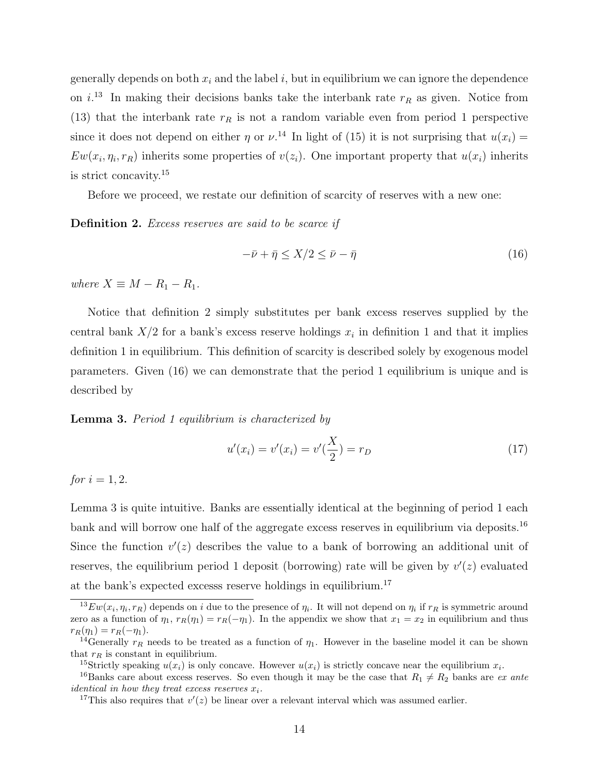generally depends on both  $x_i$  and the label i, but in equilibrium we can ignore the dependence on  $i^{13}$  In making their decisions banks take the interbank rate  $r_R$  as given. Notice from (13) that the interbank rate  $r_R$  is not a random variable even from period 1 perspective since it does not depend on either  $\eta$  or  $\nu$ .<sup>14</sup> In light of (15) it is not surprising that  $u(x_i)$  $Ew(x_i, \eta_i, r_R)$  inherits some properties of  $v(z_i)$ . One important property that  $u(x_i)$  inherits is strict concavity.<sup>15</sup>

Before we proceed, we restate our definition of scarcity of reserves with a new one:

**Definition 2.** Excess reserves are said to be scarce if

$$
-\bar{\nu} + \bar{\eta} \le X/2 \le \bar{\nu} - \bar{\eta} \tag{16}
$$

where  $X \equiv M - R_1 - R_1$ .

Notice that definition 2 simply substitutes per bank excess reserves supplied by the central bank  $X/2$  for a bank's excess reserve holdings  $x_i$  in definition 1 and that it implies definition 1 in equilibrium. This definition of scarcity is described solely by exogenous model parameters. Given (16) we can demonstrate that the period 1 equilibrium is unique and is described by

**Lemma 3.** Period 1 equilibrium is characterized by

$$
u'(x_i) = v'(x_i) = v'\left(\frac{X}{2}\right) = r_D \tag{17}
$$

*for*  $i = 1, 2$ .

Lemma 3 is quite intuitive. Banks are essentially identical at the beginning of period 1 each bank and will borrow one half of the aggregate excess reserves in equilibrium via deposits.<sup>16</sup> Since the function  $v'(z)$  describes the value to a bank of borrowing an additional unit of reserves, the equilibrium period 1 deposit (borrowing) rate will be given by  $v'(z)$  evaluated at the bank's expected excesss reserve holdings in equilibrium.<sup>17</sup>

 $^{13}Ew(x_i, \eta_i, r_R)$  depends on i due to the presence of  $\eta_i$ . It will not depend on  $\eta_i$  if  $r_R$  is symmetric around zero as a function of  $\eta_1$ ,  $r_R(\eta_1) = r_R(-\eta_1)$ . In the appendix we show that  $x_1 = x_2$  in equilibrium and thus  $r_R(\eta_1) = r_R(-\eta_1).$ 

<sup>&</sup>lt;sup>14</sup>Generally  $r_R$  needs to be treated as a function of  $\eta_1$ . However in the baseline model it can be shown that  $r_R$  is constant in equilibrium.

<sup>&</sup>lt;sup>15</sup>Strictly speaking  $u(x_i)$  is only concave. However  $u(x_i)$  is strictly concave near the equilibrium  $x_i$ .

<sup>&</sup>lt;sup>16</sup>Banks care about excess reserves. So even though it may be the case that  $R_1 \neq R_2$  banks are ex ante *identical in how they treat excess reserves*  $x_i$ .

<sup>&</sup>lt;sup>17</sup>This also requires that  $v'(z)$  be linear over a relevant interval which was assumed earlier.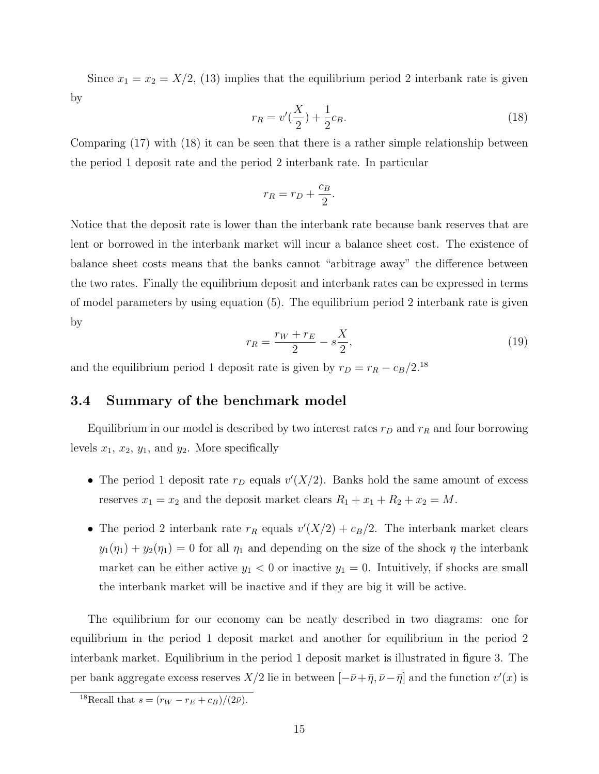Since  $x_1 = x_2 = X/2$ , (13) implies that the equilibrium period 2 interbank rate is given by

$$
r_R = v'(\frac{X}{2}) + \frac{1}{2}c_B.
$$
\n(18)

Comparing (17) with (18) it can be seen that there is a rather simple relationship between the period 1 deposit rate and the period 2 interbank rate. In particular

$$
r_R = r_D + \frac{c_B}{2}.
$$

Notice that the deposit rate is lower than the interbank rate because bank reserves that are lent or borrowed in the interbank market will incur a balance sheet cost. The existence of balance sheet costs means that the banks cannot "arbitrage away" the difference between the two rates. Finally the equilibrium deposit and interbank rates can be expressed in terms of model parameters by using equation (5). The equilibrium period 2 interbank rate is given by

$$
r_R = \frac{r_W + r_E}{2} - s\frac{X}{2},\tag{19}
$$

and the equilibrium period 1 deposit rate is given by  $r_D = r_R - c_B/2$ .<sup>18</sup>

#### 3.4 Summary of the benchmark model

Equilibrium in our model is described by two interest rates  $r_D$  and  $r_R$  and four borrowing levels  $x_1, x_2, y_1$ , and  $y_2$ . More specifically

- The period 1 deposit rate  $r_D$  equals  $v'(X/2)$ . Banks hold the same amount of excess reserves  $x_1 = x_2$  and the deposit market clears  $R_1 + x_1 + R_2 + x_2 = M$ .
- The period 2 interbank rate  $r_R$  equals  $v'(X/2) + c_B/2$ . The interbank market clears  $y_1(\eta_1) + y_2(\eta_1) = 0$  for all  $\eta_1$  and depending on the size of the shock  $\eta$  the interbank market can be either active  $y_1 < 0$  or inactive  $y_1 = 0$ . Intuitively, if shocks are small the interbank market will be inactive and if they are big it will be active.

The equilibrium for our economy can be neatly described in two diagrams: one for equilibrium in the period 1 deposit market and another for equilibrium in the period 2 interbank market. Equilibrium in the period 1 deposit market is illustrated in figure 3. The per bank aggregate excess reserves  $X/2$  lie in between  $[-\bar{\nu}+\bar{\eta}, \bar{\nu}-\bar{\eta}]$  and the function  $v'(x)$  is

<sup>&</sup>lt;sup>18</sup>Recall that  $s = (r_W - r_E + c_B)/(2\bar{\nu}).$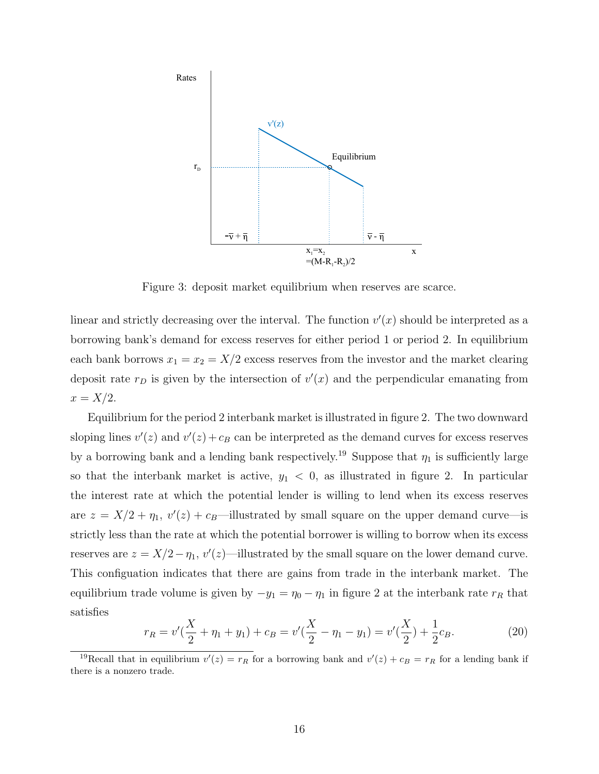

Figure 3: deposit market equilibrium when reserves are scarce.

linear and strictly decreasing over the interval. The function  $v'(x)$  should be interpreted as a borrowing bank's demand for excess reserves for either period 1 or period 2. In equilibrium each bank borrows  $x_1 = x_2 = X/2$  excess reserves from the investor and the market clearing deposit rate  $r_D$  is given by the intersection of  $v'(x)$  and the perpendicular emanating from  $x = X/2$ .

Equilibrium for the period 2 interbank market is illustrated in figure 2. The two downward sloping lines  $v'(z)$  and  $v'(z) + c_B$  can be interpreted as the demand curves for excess reserves by a borrowing bank and a lending bank respectively.<sup>19</sup> Suppose that  $\eta_1$  is sufficiently large so that the interbank market is active,  $y_1 < 0$ , as illustrated in figure 2. In particular the interest rate at which the potential lender is willing to lend when its excess reserves are  $z = X/2 + \eta_1$ ,  $v'(z) + c_B$ —illustrated by small square on the upper demand curve—is strictly less than the rate at which the potential borrower is willing to borrow when its excess reserves are  $z = X/2 - \eta_1$ ,  $v'(z)$ —illustrated by the small square on the lower demand curve. This configuation indicates that there are gains from trade in the interbank market. The equilibrium trade volume is given by  $-y_1 = \eta_0 - \eta_1$  in figure 2 at the interbank rate  $r_R$  that satisfies

$$
r_R = v'(\frac{X}{2} + \eta_1 + y_1) + c_B = v'(\frac{X}{2} - \eta_1 - y_1) = v'(\frac{X}{2}) + \frac{1}{2}c_B.
$$
 (20)

<sup>&</sup>lt;sup>19</sup>Recall that in equilibrium  $v'(z) = r_R$  for a borrowing bank and  $v'(z) + c_B = r_R$  for a lending bank if there is a nonzero trade.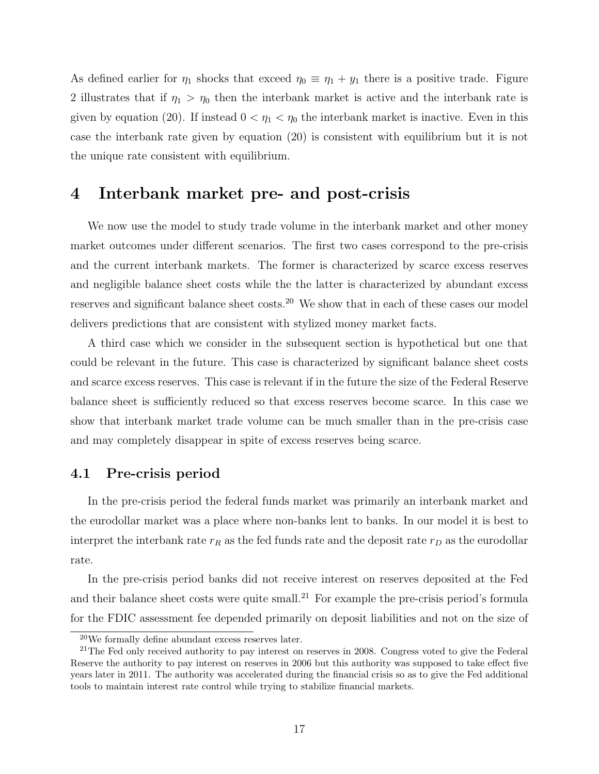As defined earlier for  $\eta_1$  shocks that exceed  $\eta_0 \equiv \eta_1 + y_1$  there is a positive trade. Figure 2 illustrates that if  $\eta_1 > \eta_0$  then the interbank market is active and the interbank rate is given by equation (20). If instead  $0 < \eta_1 < \eta_0$  the interbank market is inactive. Even in this case the interbank rate given by equation (20) is consistent with equilibrium but it is not the unique rate consistent with equilibrium.

# 4 Interbank market pre- and post-crisis

We now use the model to study trade volume in the interbank market and other money market outcomes under different scenarios. The first two cases correspond to the pre-crisis and the current interbank markets. The former is characterized by scarce excess reserves and negligible balance sheet costs while the the latter is characterized by abundant excess reserves and significant balance sheet costs.<sup>20</sup> We show that in each of these cases our model delivers predictions that are consistent with stylized money market facts.

A third case which we consider in the subsequent section is hypothetical but one that could be relevant in the future. This case is characterized by significant balance sheet costs and scarce excess reserves. This case is relevant if in the future the size of the Federal Reserve balance sheet is sufficiently reduced so that excess reserves become scarce. In this case we show that interbank market trade volume can be much smaller than in the pre-crisis case and may completely disappear in spite of excess reserves being scarce.

## 4.1 Pre-crisis period

In the pre-crisis period the federal funds market was primarily an interbank market and the eurodollar market was a place where non-banks lent to banks. In our model it is best to interpret the interbank rate  $r_R$  as the fed funds rate and the deposit rate  $r_D$  as the eurodollar rate.

In the pre-crisis period banks did not receive interest on reserves deposited at the Fed and their balance sheet costs were quite small.<sup>21</sup> For example the pre-crisis period's formula for the FDIC assessment fee depended primarily on deposit liabilities and not on the size of

<sup>20</sup>We formally define abundant excess reserves later.

 $21$ The Fed only received authority to pay interest on reserves in 2008. Congress voted to give the Federal Reserve the authority to pay interest on reserves in 2006 but this authority was supposed to take effect five years later in 2011. The authority was accelerated during the financial crisis so as to give the Fed additional tools to maintain interest rate control while trying to stabilize financial markets.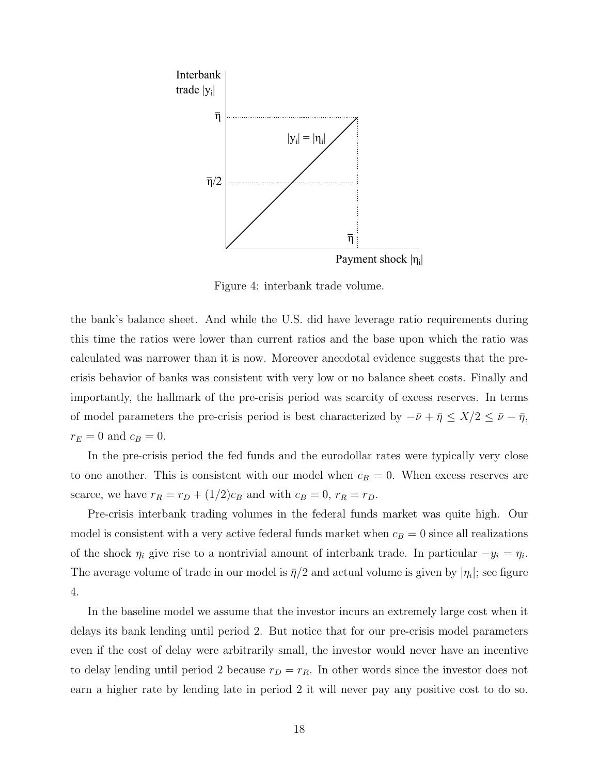

Figure 4: interbank trade volume.

the bank's balance sheet. And while the U.S. did have leverage ratio requirements during this time the ratios were lower than current ratios and the base upon which the ratio was calculated was narrower than it is now. Moreover anecdotal evidence suggests that the precrisis behavior of banks was consistent with very low or no balance sheet costs. Finally and importantly, the hallmark of the pre-crisis period was scarcity of excess reserves. In terms of model parameters the pre-crisis period is best characterized by  $-\bar{\nu} + \bar{\eta} \leq X/2 \leq \bar{\nu} - \bar{\eta}$ ,  $r_E = 0$  and  $c_B = 0$ .

In the pre-crisis period the fed funds and the eurodollar rates were typically very close to one another. This is consistent with our model when  $c_B = 0$ . When excess reserves are scarce, we have  $r_R = r_D + (1/2)c_B$  and with  $c_B = 0$ ,  $r_R = r_D$ .

Pre-crisis interbank trading volumes in the federal funds market was quite high. Our model is consistent with a very active federal funds market when  $c_B = 0$  since all realizations of the shock  $\eta_i$  give rise to a nontrivial amount of interbank trade. In particular  $-y_i = \eta_i$ . The average volume of trade in our model is  $\bar{\eta}/2$  and actual volume is given by  $|\eta_i|$ ; see figure 4.

In the baseline model we assume that the investor incurs an extremely large cost when it delays its bank lending until period 2. But notice that for our pre-crisis model parameters even if the cost of delay were arbitrarily small, the investor would never have an incentive to delay lending until period 2 because  $r_D = r_R$ . In other words since the investor does not earn a higher rate by lending late in period 2 it will never pay any positive cost to do so.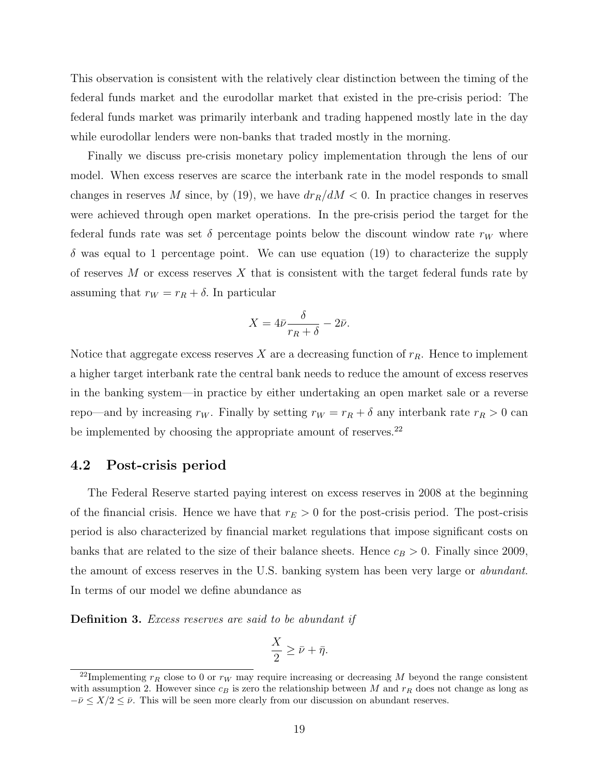This observation is consistent with the relatively clear distinction between the timing of the federal funds market and the eurodollar market that existed in the pre-crisis period: The federal funds market was primarily interbank and trading happened mostly late in the day while eurodollar lenders were non-banks that traded mostly in the morning.

Finally we discuss pre-crisis monetary policy implementation through the lens of our model. When excess reserves are scarce the interbank rate in the model responds to small changes in reserves M since, by (19), we have  $dr_R/dM < 0$ . In practice changes in reserves were achieved through open market operations. In the pre-crisis period the target for the federal funds rate was set  $\delta$  percentage points below the discount window rate  $r_W$  where  $\delta$  was equal to 1 percentage point. We can use equation (19) to characterize the supply of reserves  $M$  or excess reserves  $X$  that is consistent with the target federal funds rate by assuming that  $r_W = r_R + \delta$ . In particular

$$
X = 4\bar{\nu}\frac{\delta}{r_R + \delta} - 2\bar{\nu}.
$$

Notice that aggregate excess reserves X are a decreasing function of  $r_R$ . Hence to implement a higher target interbank rate the central bank needs to reduce the amount of excess reserves in the banking system—in practice by either undertaking an open market sale or a reverse repo—and by increasing  $r_W$ . Finally by setting  $r_W = r_R + \delta$  any interbank rate  $r_R > 0$  can be implemented by choosing the appropriate amount of reserves.<sup>22</sup>

#### 4.2 Post-crisis period

The Federal Reserve started paying interest on excess reserves in 2008 at the beginning of the financial crisis. Hence we have that  $r_E > 0$  for the post-crisis period. The post-crisis period is also characterized by financial market regulations that impose significant costs on banks that are related to the size of their balance sheets. Hence  $c_B > 0$ . Finally since 2009, the amount of excess reserves in the U.S. banking system has been very large or abundant. In terms of our model we define abundance as

Definition 3. Excess reserves are said to be abundant if

$$
\frac{X}{2}\geq \bar{\nu}+\bar{\eta}.
$$

<sup>&</sup>lt;sup>22</sup>Implementing  $r_R$  close to 0 or  $r_W$  may require increasing or decreasing M beyond the range consistent with assumption 2. However since  $c_B$  is zero the relationship between M and  $r_R$  does not change as long as  $-\bar{\nu} \leq X/2 \leq \bar{\nu}$ . This will be seen more clearly from our discussion on abundant reserves.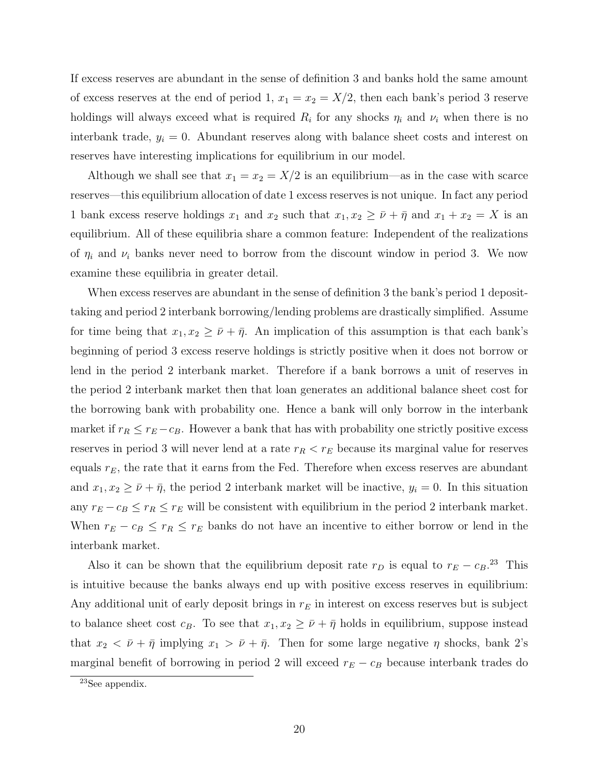If excess reserves are abundant in the sense of definition 3 and banks hold the same amount of excess reserves at the end of period 1,  $x_1 = x_2 = X/2$ , then each bank's period 3 reserve holdings will always exceed what is required  $R_i$  for any shocks  $\eta_i$  and  $\nu_i$  when there is no interbank trade,  $y_i = 0$ . Abundant reserves along with balance sheet costs and interest on reserves have interesting implications for equilibrium in our model.

Although we shall see that  $x_1 = x_2 = X/2$  is an equilibrium—as in the case with scarce reserves—this equilibrium allocation of date 1 excess reserves is not unique. In fact any period 1 bank excess reserve holdings  $x_1$  and  $x_2$  such that  $x_1, x_2 \geq \bar{\nu} + \bar{\eta}$  and  $x_1 + x_2 = X$  is an equilibrium. All of these equilibria share a common feature: Independent of the realizations of  $\eta_i$  and  $\nu_i$  banks never need to borrow from the discount window in period 3. We now examine these equilibria in greater detail.

When excess reserves are abundant in the sense of definition 3 the bank's period 1 deposittaking and period 2 interbank borrowing/lending problems are drastically simplified. Assume for time being that  $x_1, x_2 \geq \bar{\nu} + \bar{\eta}$ . An implication of this assumption is that each bank's beginning of period 3 excess reserve holdings is strictly positive when it does not borrow or lend in the period 2 interbank market. Therefore if a bank borrows a unit of reserves in the period 2 interbank market then that loan generates an additional balance sheet cost for the borrowing bank with probability one. Hence a bank will only borrow in the interbank market if  $r_R \leq r_E - c_B$ . However a bank that has with probability one strictly positive excess reserves in period 3 will never lend at a rate  $r_R < r_E$  because its marginal value for reserves equals  $r_E$ , the rate that it earns from the Fed. Therefore when excess reserves are abundant and  $x_1, x_2 \geq \bar{\nu} + \bar{\eta}$ , the period 2 interbank market will be inactive,  $y_i = 0$ . In this situation any  $r_E - c_B \le r_R \le r_E$  will be consistent with equilibrium in the period 2 interbank market. When  $r_E - c_B \le r_R \le r_E$  banks do not have an incentive to either borrow or lend in the interbank market.

Also it can be shown that the equilibrium deposit rate  $r_D$  is equal to  $r_E - c_B$ <sup>23</sup>. This is intuitive because the banks always end up with positive excess reserves in equilibrium: Any additional unit of early deposit brings in  $r_E$  in interest on excess reserves but is subject to balance sheet cost  $c_B$ . To see that  $x_1, x_2 \geq \bar{\nu} + \bar{\eta}$  holds in equilibrium, suppose instead that  $x_2 < \bar{\nu} + \bar{\eta}$  implying  $x_1 > \bar{\nu} + \bar{\eta}$ . Then for some large negative  $\eta$  shocks, bank 2's marginal benefit of borrowing in period 2 will exceed  $r_E - c_B$  because interbank trades do

<sup>23</sup>See appendix.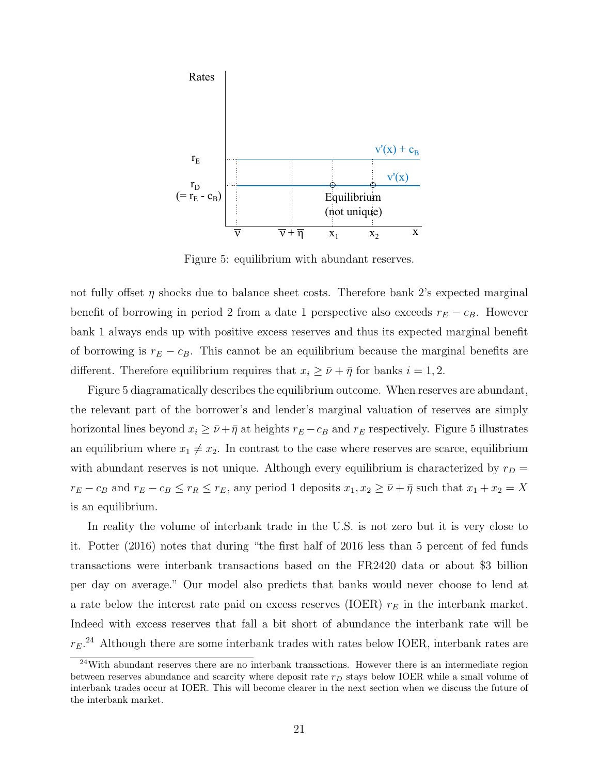

Figure 5: equilibrium with abundant reserves.

not fully offset  $\eta$  shocks due to balance sheet costs. Therefore bank 2's expected marginal benefit of borrowing in period 2 from a date 1 perspective also exceeds  $r_E - c_B$ . However bank 1 always ends up with positive excess reserves and thus its expected marginal benefit of borrowing is  $r_E - c_B$ . This cannot be an equilibrium because the marginal benefits are different. Therefore equilibrium requires that  $x_i \geq \bar{\nu} + \bar{\eta}$  for banks  $i = 1, 2$ .

Figure 5 diagramatically describes the equilibrium outcome. When reserves are abundant, the relevant part of the borrower's and lender's marginal valuation of reserves are simply horizontal lines beyond  $x_i \geq \bar{\nu} + \bar{\eta}$  at heights  $r_E - c_B$  and  $r_E$  respectively. Figure 5 illustrates an equilibrium where  $x_1 \neq x_2$ . In contrast to the case where reserves are scarce, equilibrium with abundant reserves is not unique. Although every equilibrium is characterized by  $r_D =$  $r_E - c_B$  and  $r_E - c_B \le r_R \le r_E$ , any period 1 deposits  $x_1, x_2 \ge \bar{\nu} + \bar{\eta}$  such that  $x_1 + x_2 = X$ is an equilibrium.

In reality the volume of interbank trade in the U.S. is not zero but it is very close to it. Potter (2016) notes that during "the first half of 2016 less than 5 percent of fed funds transactions were interbank transactions based on the FR2420 data or about \$3 billion per day on average." Our model also predicts that banks would never choose to lend at a rate below the interest rate paid on excess reserves (IOER)  $r_E$  in the interbank market. Indeed with excess reserves that fall a bit short of abundance the interbank rate will be  $r_E$ <sup>24</sup> Although there are some interbank trades with rates below IOER, interbank rates are

 $24$ With abundant reserves there are no interbank transactions. However there is an intermediate region between reserves abundance and scarcity where deposit rate  $r_D$  stays below IOER while a small volume of interbank trades occur at IOER. This will become clearer in the next section when we discuss the future of the interbank market.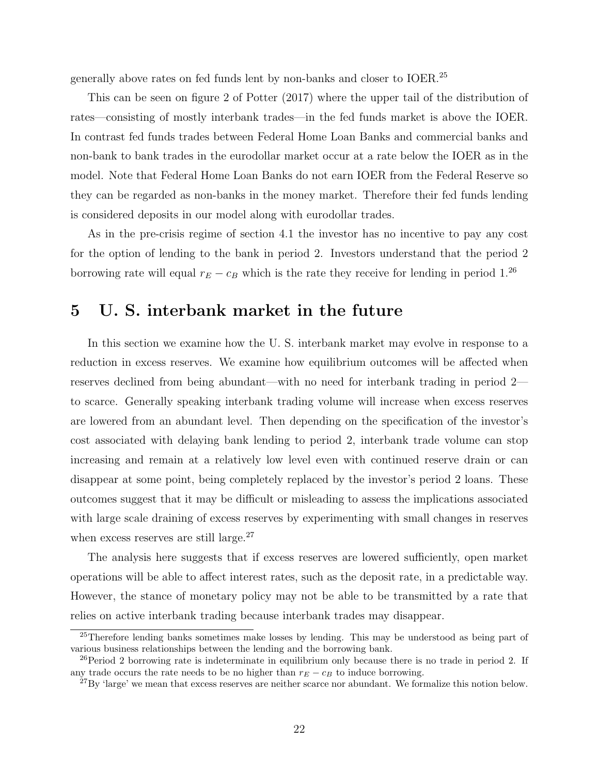generally above rates on fed funds lent by non-banks and closer to IOER.<sup>25</sup>

This can be seen on figure 2 of Potter (2017) where the upper tail of the distribution of rates—consisting of mostly interbank trades—in the fed funds market is above the IOER. In contrast fed funds trades between Federal Home Loan Banks and commercial banks and non-bank to bank trades in the eurodollar market occur at a rate below the IOER as in the model. Note that Federal Home Loan Banks do not earn IOER from the Federal Reserve so they can be regarded as non-banks in the money market. Therefore their fed funds lending is considered deposits in our model along with eurodollar trades.

As in the pre-crisis regime of section 4.1 the investor has no incentive to pay any cost for the option of lending to the bank in period 2. Investors understand that the period 2 borrowing rate will equal  $r_E - c_B$  which is the rate they receive for lending in period 1.<sup>26</sup>

# 5 U. S. interbank market in the future

In this section we examine how the U. S. interbank market may evolve in response to a reduction in excess reserves. We examine how equilibrium outcomes will be affected when reserves declined from being abundant—with no need for interbank trading in period 2 to scarce. Generally speaking interbank trading volume will increase when excess reserves are lowered from an abundant level. Then depending on the specification of the investor's cost associated with delaying bank lending to period 2, interbank trade volume can stop increasing and remain at a relatively low level even with continued reserve drain or can disappear at some point, being completely replaced by the investor's period 2 loans. These outcomes suggest that it may be difficult or misleading to assess the implications associated with large scale draining of excess reserves by experimenting with small changes in reserves when excess reserves are still large.<sup>27</sup>

The analysis here suggests that if excess reserves are lowered sufficiently, open market operations will be able to affect interest rates, such as the deposit rate, in a predictable way. However, the stance of monetary policy may not be able to be transmitted by a rate that relies on active interbank trading because interbank trades may disappear.

<sup>&</sup>lt;sup>25</sup>Therefore lending banks sometimes make losses by lending. This may be understood as being part of various business relationships between the lending and the borrowing bank.

<sup>&</sup>lt;sup>26</sup>Period 2 borrowing rate is indeterminate in equilibrium only because there is no trade in period 2. If any trade occurs the rate needs to be no higher than  $r_E - c_B$  to induce borrowing.

 $^{27}$ By 'large' we mean that excess reserves are neither scarce nor abundant. We formalize this notion below.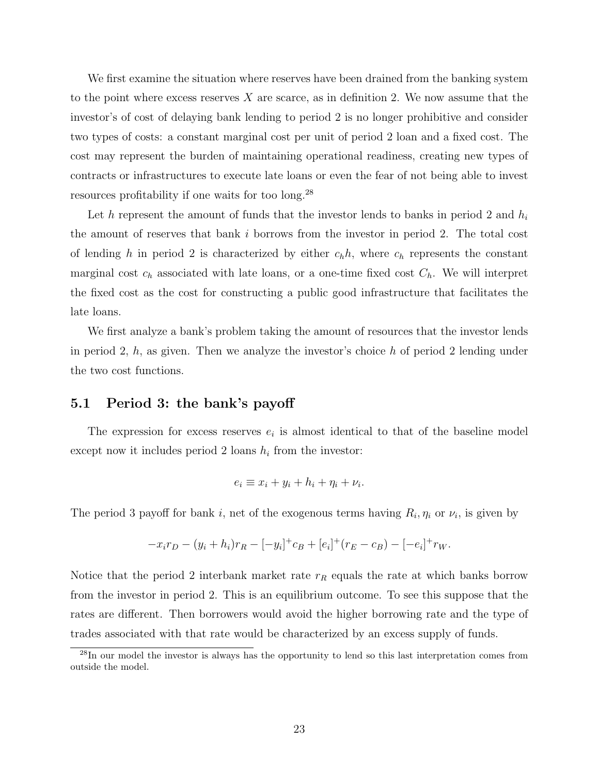We first examine the situation where reserves have been drained from the banking system to the point where excess reserves  $X$  are scarce, as in definition 2. We now assume that the investor's of cost of delaying bank lending to period 2 is no longer prohibitive and consider two types of costs: a constant marginal cost per unit of period 2 loan and a fixed cost. The cost may represent the burden of maintaining operational readiness, creating new types of contracts or infrastructures to execute late loans or even the fear of not being able to invest resources profitability if one waits for too long.<sup>28</sup>

Let h represent the amount of funds that the investor lends to banks in period 2 and  $h_i$ the amount of reserves that bank i borrows from the investor in period 2. The total cost of lending h in period 2 is characterized by either  $c_h h$ , where  $c_h$  represents the constant marginal cost  $c_h$  associated with late loans, or a one-time fixed cost  $C_h$ . We will interpret the fixed cost as the cost for constructing a public good infrastructure that facilitates the late loans.

We first analyze a bank's problem taking the amount of resources that the investor lends in period 2,  $h$ , as given. Then we analyze the investor's choice  $h$  of period 2 lending under the two cost functions.

#### 5.1 Period 3: the bank's payoff

The expression for excess reserves  $e_i$  is almost identical to that of the baseline model except now it includes period 2 loans  $h_i$  from the investor:

$$
e_i \equiv x_i + y_i + h_i + \eta_i + \nu_i.
$$

The period 3 payoff for bank i, net of the exogenous terms having  $R_i, \eta_i$  or  $\nu_i$ , is given by

$$
-x_i r_D - (y_i + h_i) r_R - [-y_i]^+ c_B + [e_i]^+ (r_E - c_B) - [-e_i]^+ r_W.
$$

Notice that the period 2 interbank market rate  $r_R$  equals the rate at which banks borrow from the investor in period 2. This is an equilibrium outcome. To see this suppose that the rates are different. Then borrowers would avoid the higher borrowing rate and the type of trades associated with that rate would be characterized by an excess supply of funds.

<sup>&</sup>lt;sup>28</sup>In our model the investor is always has the opportunity to lend so this last interpretation comes from outside the model.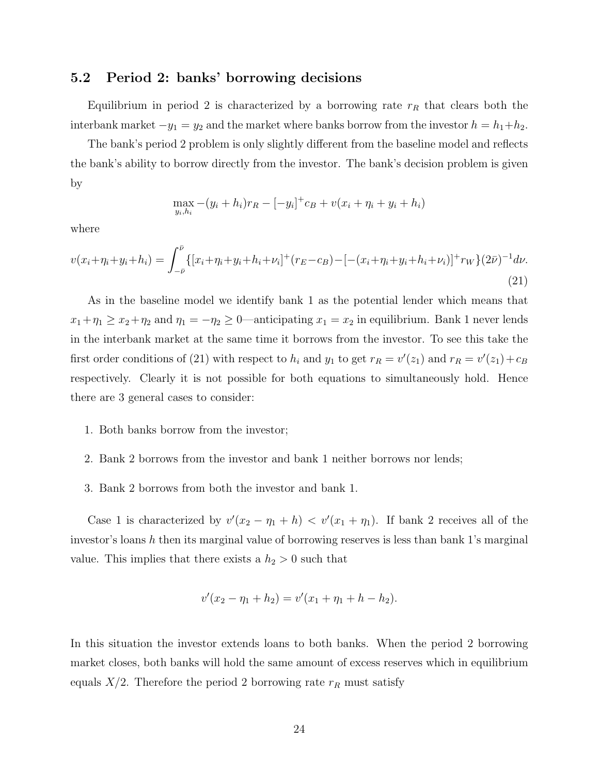#### 5.2 Period 2: banks' borrowing decisions

Equilibrium in period 2 is characterized by a borrowing rate  $r_R$  that clears both the interbank market  $-y_1 = y_2$  and the market where banks borrow from the investor  $h = h_1 + h_2$ .

The bank's period 2 problem is only slightly different from the baseline model and reflects the bank's ability to borrow directly from the investor. The bank's decision problem is given by

$$
\max_{y_i, h_i} -(y_i + h_i)r_R - [-y_i]^+ c_B + v(x_i + \eta_i + y_i + h_i)
$$

where

$$
v(x_i + \eta_i + y_i + h_i) = \int_{-\bar{\nu}}^{\bar{\nu}} \{ [x_i + \eta_i + y_i + h_i + \nu_i]^+(r_E - c_B) - [-(x_i + \eta_i + y_i + h_i + \nu_i)]^+ r_W \} (2\bar{\nu})^{-1} d\nu.
$$
\n(21)

As in the baseline model we identify bank 1 as the potential lender which means that  $x_1+\eta_1 \ge x_2+\eta_2$  and  $\eta_1 = -\eta_2 \ge 0$ —anticipating  $x_1 = x_2$  in equilibrium. Bank 1 never lends in the interbank market at the same time it borrows from the investor. To see this take the first order conditions of (21) with respect to  $h_i$  and  $y_1$  to get  $r_R = v'(z_1)$  and  $r_R = v'(z_1) + c_B$ respectively. Clearly it is not possible for both equations to simultaneously hold. Hence there are 3 general cases to consider:

- 1. Both banks borrow from the investor;
- 2. Bank 2 borrows from the investor and bank 1 neither borrows nor lends;
- 3. Bank 2 borrows from both the investor and bank 1.

Case 1 is characterized by  $v'(x_2 - \eta_1 + h) < v'(x_1 + \eta_1)$ . If bank 2 receives all of the investor's loans  $h$  then its marginal value of borrowing reserves is less than bank 1's marginal value. This implies that there exists a  $h_2 > 0$  such that

$$
v'(x_2 - \eta_1 + h_2) = v'(x_1 + \eta_1 + h - h_2).
$$

In this situation the investor extends loans to both banks. When the period 2 borrowing market closes, both banks will hold the same amount of excess reserves which in equilibrium equals  $X/2$ . Therefore the period 2 borrowing rate  $r_R$  must satisfy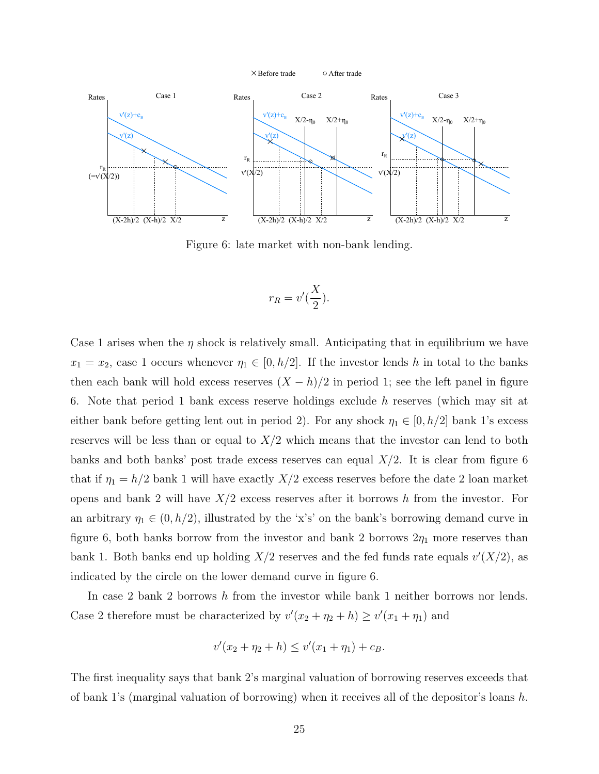

Figure 6: late market with non-bank lending.

$$
r_R = v'(\frac{X}{2}).
$$

Case 1 arises when the  $\eta$  shock is relatively small. Anticipating that in equilibrium we have  $x_1 = x_2$ , case 1 occurs whenever  $\eta_1 \in [0, h/2]$ . If the investor lends h in total to the banks then each bank will hold excess reserves  $(X - h)/2$  in period 1; see the left panel in figure 6. Note that period 1 bank excess reserve holdings exclude h reserves (which may sit at either bank before getting lent out in period 2). For any shock  $\eta_1 \in [0, h/2]$  bank 1's excess reserves will be less than or equal to  $X/2$  which means that the investor can lend to both banks and both banks' post trade excess reserves can equal  $X/2$ . It is clear from figure 6 that if  $\eta_1 = h/2$  bank 1 will have exactly  $X/2$  excess reserves before the date 2 loan market opens and bank 2 will have  $X/2$  excess reserves after it borrows h from the investor. For an arbitrary  $\eta_1 \in (0, h/2)$ , illustrated by the 'x's' on the bank's borrowing demand curve in figure 6, both banks borrow from the investor and bank 2 borrows  $2\eta_1$  more reserves than bank 1. Both banks end up holding  $X/2$  reserves and the fed funds rate equals  $v'(X/2)$ , as indicated by the circle on the lower demand curve in figure 6.

In case 2 bank 2 borrows h from the investor while bank 1 neither borrows nor lends. Case 2 therefore must be characterized by  $v'(x_2 + \eta_2 + h) \ge v'(x_1 + \eta_1)$  and

$$
v'(x_2 + \eta_2 + h) \le v'(x_1 + \eta_1) + c_B.
$$

The first inequality says that bank 2's marginal valuation of borrowing reserves exceeds that of bank 1's (marginal valuation of borrowing) when it receives all of the depositor's loans  $h$ .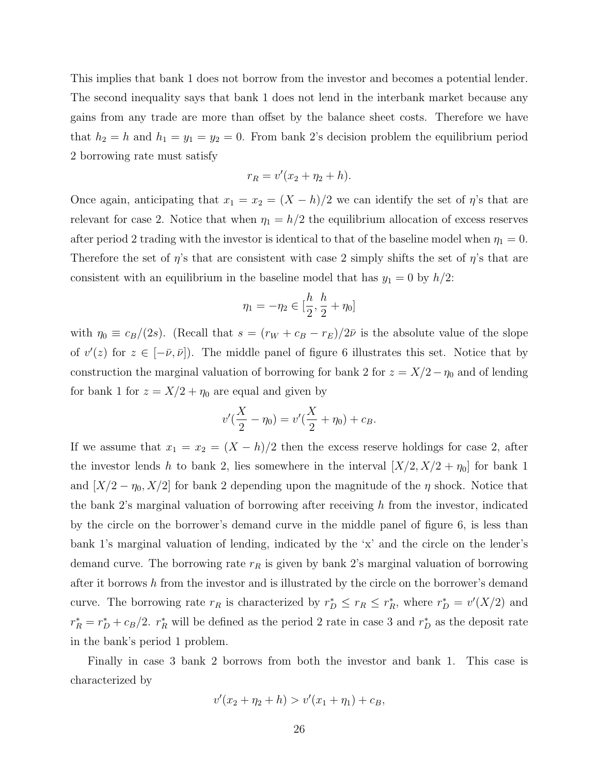This implies that bank 1 does not borrow from the investor and becomes a potential lender. The second inequality says that bank 1 does not lend in the interbank market because any gains from any trade are more than offset by the balance sheet costs. Therefore we have that  $h_2 = h$  and  $h_1 = y_1 = y_2 = 0$ . From bank 2's decision problem the equilibrium period 2 borrowing rate must satisfy

$$
r_R = v'(x_2 + \eta_2 + h).
$$

Once again, anticipating that  $x_1 = x_2 = (X - h)/2$  we can identify the set of  $\eta$ 's that are relevant for case 2. Notice that when  $\eta_1 = h/2$  the equilibrium allocation of excess reserves after period 2 trading with the investor is identical to that of the baseline model when  $\eta_1 = 0$ . Therefore the set of  $\eta$ 's that are consistent with case 2 simply shifts the set of  $\eta$ 's that are consistent with an equilibrium in the baseline model that has  $y_1 = 0$  by  $h/2$ :

$$
\eta_1 = -\eta_2 \in [\frac{h}{2}, \frac{h}{2} + \eta_0]
$$

with  $\eta_0 \equiv c_B/(2s)$ . (Recall that  $s = (r_W + c_B - r_E)/2\bar{\nu}$  is the absolute value of the slope of  $v'(z)$  for  $z \in [-\bar{\nu}, \bar{\nu}]$ . The middle panel of figure 6 illustrates this set. Notice that by construction the marginal valuation of borrowing for bank 2 for  $z = X/2 - \eta_0$  and of lending for bank 1 for  $z = X/2 + \eta_0$  are equal and given by

$$
v'(\frac{X}{2} - \eta_0) = v'(\frac{X}{2} + \eta_0) + c_B.
$$

If we assume that  $x_1 = x_2 = (X - h)/2$  then the excess reserve holdings for case 2, after the investor lends h to bank 2, lies somewhere in the interval  $[X/2, X/2 + \eta_0]$  for bank 1 and  $[X/2 - \eta_0, X/2]$  for bank 2 depending upon the magnitude of the  $\eta$  shock. Notice that the bank  $2$ 's marginal valuation of borrowing after receiving h from the investor, indicated by the circle on the borrower's demand curve in the middle panel of figure 6, is less than bank 1's marginal valuation of lending, indicated by the 'x' and the circle on the lender's demand curve. The borrowing rate  $r_R$  is given by bank 2's marginal valuation of borrowing after it borrows h from the investor and is illustrated by the circle on the borrower's demand curve. The borrowing rate  $r_R$  is characterized by  $r_D^* \leq r_R \leq r_R^*$ , where  $r_D^* = v'(X/2)$  and  $r_R^* = r_D^* + c_B/2$ .  $r_R^*$  will be defined as the period 2 rate in case 3 and  $r_D^*$  as the deposit rate in the bank's period 1 problem.

Finally in case 3 bank 2 borrows from both the investor and bank 1. This case is characterized by

$$
v'(x_2 + \eta_2 + h) > v'(x_1 + \eta_1) + c_B,
$$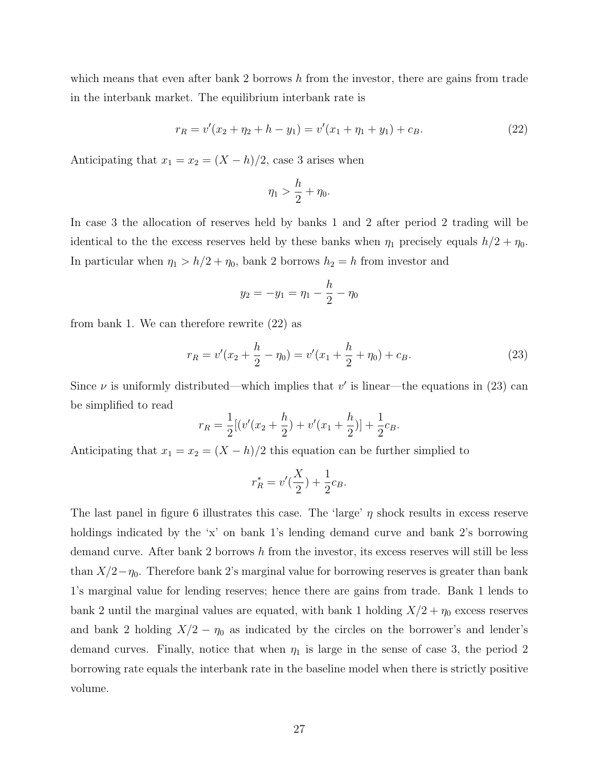which means that even after bank 2 borrows  $h$  from the investor, there are gains from trade in the interbank market. The equilibrium interbank rate is

$$
r_R = v'(x_2 + \eta_2 + h - y_1) = v'(x_1 + \eta_1 + y_1) + c_B.
$$
\n(22)

Anticipating that  $x_1 = x_2 = (X - h)/2$ , case 3 arises when

$$
\eta_1 > \frac{h}{2} + \eta_0.
$$

In case 3 the allocation of reserves held by banks 1 and 2 after period 2 trading will be identical to the the excess reserves held by these banks when  $\eta_1$  precisely equals  $h/2 + \eta_0$ . In particular when  $\eta_1 > h/2 + \eta_0$ , bank 2 borrows  $h_2 = h$  from investor and

$$
y_2 = -y_1 = \eta_1 - \frac{h}{2} - \eta_0
$$

from bank 1. We can therefore rewrite (22) as

$$
r_R = v'(x_2 + \frac{h}{2} - \eta_0) = v'(x_1 + \frac{h}{2} + \eta_0) + c_B.
$$
 (23)

Since  $\nu$  is uniformly distributed—which implies that  $v'$  is linear—the equations in (23) can be simplified to read

$$
r_R = \frac{1}{2}[(v'(x_2 + \frac{h}{2}) + v'(x_1 + \frac{h}{2})] + \frac{1}{2}c_B.
$$

Anticipating that  $x_1 = x_2 = (X - h)/2$  this equation can be further simplied to

$$
r^*_R=v'(\frac{X}{2})+\frac{1}{2}c_B.
$$

The last panel in figure 6 illustrates this case. The 'large'  $\eta$  shock results in excess reserve holdings indicated by the 'x' on bank 1's lending demand curve and bank 2's borrowing demand curve. After bank 2 borrows h from the investor, its excess reserves will still be less than  $X/2-\eta_0$ . Therefore bank 2's marginal value for borrowing reserves is greater than bank 1's marginal value for lending reserves; hence there are gains from trade. Bank 1 lends to bank 2 until the marginal values are equated, with bank 1 holding  $X/2 + \eta_0$  excess reserves and bank 2 holding  $X/2 - \eta_0$  as indicated by the circles on the borrower's and lender's demand curves. Finally, notice that when  $\eta_1$  is large in the sense of case 3, the period 2 borrowing rate equals the interbank rate in the baseline model when there is strictly positive volume.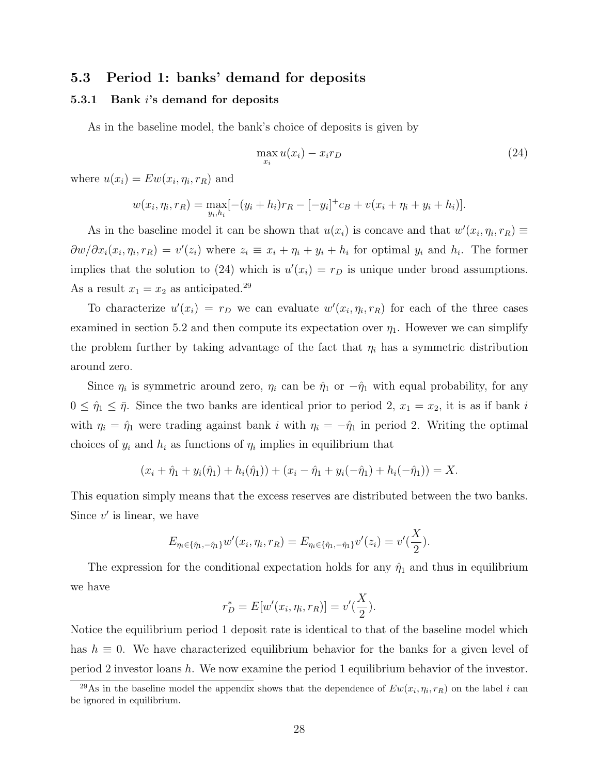## 5.3 Period 1: banks' demand for deposits

#### 5.3.1 Bank i's demand for deposits

As in the baseline model, the bank's choice of deposits is given by

$$
\max_{x_i} u(x_i) - x_i r_D \tag{24}
$$

where  $u(x_i) = E w(x_i, \eta_i, r_R)$  and

$$
w(x_i, \eta_i, r_R) = \max_{y_i, h_i} [-(y_i + h_i)r_R - [-y_i]^+ c_B + v(x_i + \eta_i + y_i + h_i)].
$$

As in the baseline model it can be shown that  $u(x_i)$  is concave and that  $w'(x_i, \eta_i, r_R) \equiv$  $\frac{\partial w}{\partial x_i}(x_i, \eta_i, r_R) = v'(z_i)$  where  $z_i \equiv x_i + \eta_i + y_i + h_i$  for optimal  $y_i$  and  $h_i$ . The former implies that the solution to (24) which is  $u'(x_i) = r_D$  is unique under broad assumptions. As a result  $x_1 = x_2$  as anticipated.<sup>29</sup>

To characterize  $u'(x_i) = r_D$  we can evaluate  $w'(x_i, \eta_i, r_R)$  for each of the three cases examined in section 5.2 and then compute its expectation over  $\eta_1$ . However we can simplify the problem further by taking advantage of the fact that  $\eta_i$  has a symmetric distribution around zero.

Since  $\eta_i$  is symmetric around zero,  $\eta_i$  can be  $\hat{\eta}_1$  or  $-\hat{\eta}_1$  with equal probability, for any  $0 \leq \hat{\eta}_1 \leq \bar{\eta}$ . Since the two banks are identical prior to period 2,  $x_1 = x_2$ , it is as if bank i with  $\eta_i = \hat{\eta}_1$  were trading against bank i with  $\eta_i = -\hat{\eta}_1$  in period 2. Writing the optimal choices of  $y_i$  and  $h_i$  as functions of  $\eta_i$  implies in equilibrium that

$$
(x_i + \hat{\eta}_1 + y_i(\hat{\eta}_1) + h_i(\hat{\eta}_1)) + (x_i - \hat{\eta}_1 + y_i(-\hat{\eta}_1) + h_i(-\hat{\eta}_1)) = X.
$$

This equation simply means that the excess reserves are distributed between the two banks. Since  $v'$  is linear, we have

$$
E_{\eta_i \in {\{\hat{\eta}_1, -\hat{\eta}_1\}}} w'(x_i, \eta_i, r_R) = E_{\eta_i \in {\{\hat{\eta}_1, -\hat{\eta}_1\}}} v'(z_i) = v'(\frac{X}{2}).
$$

The expression for the conditional expectation holds for any  $\hat{\eta}_1$  and thus in equilibrium we have  $\mathbf{v}$ 

$$
r_D^* = E[w'(x_i, \eta_i, r_R)] = v'(\frac{X}{2}).
$$

Notice the equilibrium period 1 deposit rate is identical to that of the baseline model which has  $h \equiv 0$ . We have characterized equilibrium behavior for the banks for a given level of period 2 investor loans h. We now examine the period 1 equilibrium behavior of the investor.

<sup>&</sup>lt;sup>29</sup>As in the baseline model the appendix shows that the dependence of  $Ew(x_i, \eta_i, r_R)$  on the label i can be ignored in equilibrium.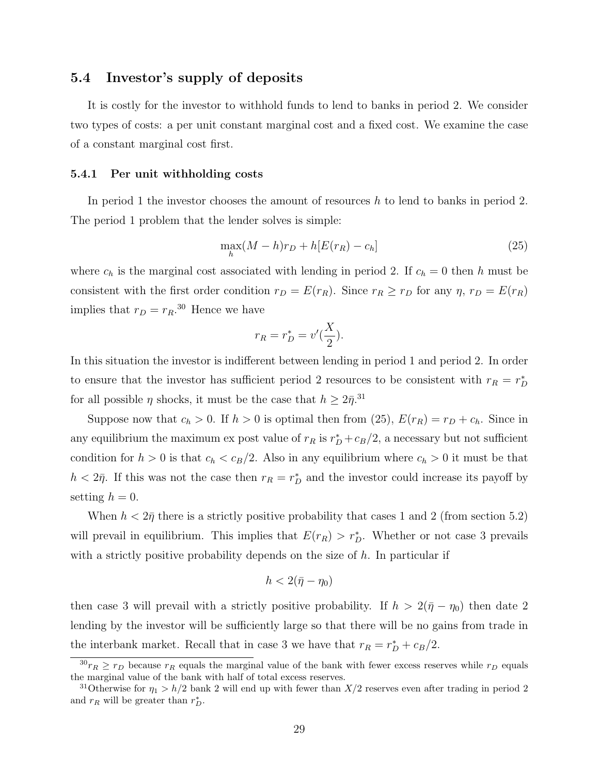#### 5.4 Investor's supply of deposits

It is costly for the investor to withhold funds to lend to banks in period 2. We consider two types of costs: a per unit constant marginal cost and a fixed cost. We examine the case of a constant marginal cost first.

#### 5.4.1 Per unit withholding costs

In period 1 the investor chooses the amount of resources h to lend to banks in period 2. The period 1 problem that the lender solves is simple:

$$
\max_{h} (M - h)r_D + h[E(r_R) - c_h]
$$
\n(25)

where  $c_h$  is the marginal cost associated with lending in period 2. If  $c_h = 0$  then h must be consistent with the first order condition  $r_D = E(r_R)$ . Since  $r_R \ge r_D$  for any  $\eta$ ,  $r_D = E(r_R)$ implies that  $r_D = r_R$ .<sup>30</sup> Hence we have

$$
r_R = r_D^* = v'(\frac{X}{2}).
$$

In this situation the investor is indifferent between lending in period 1 and period 2. In order to ensure that the investor has sufficient period 2 resources to be consistent with  $r_R = r_D^*$ for all possible  $\eta$  shocks, it must be the case that  $h \geq 2\bar{\eta}^{31}$ .

Suppose now that  $c_h > 0$ . If  $h > 0$  is optimal then from (25),  $E(r_R) = r_D + c_h$ . Since in any equilibrium the maximum ex post value of  $r_R$  is  $r_D^* + c_B/2$ , a necessary but not sufficient condition for  $h > 0$  is that  $c_h < c_B/2$ . Also in any equilibrium where  $c_h > 0$  it must be that  $h < 2\bar{\eta}$ . If this was not the case then  $r_R = r_D^*$  and the investor could increase its payoff by setting  $h = 0$ .

When  $h < 2\bar{\eta}$  there is a strictly positive probability that cases 1 and 2 (from section 5.2) will prevail in equilibrium. This implies that  $E(r_R) > r_D^*$ . Whether or not case 3 prevails with a strictly positive probability depends on the size of  $h$ . In particular if

$$
h<2(\bar{\eta}-\eta_0)
$$

then case 3 will prevail with a strictly positive probability. If  $h > 2(\bar{\eta} - \eta_0)$  then date 2 lending by the investor will be sufficiently large so that there will be no gains from trade in the interbank market. Recall that in case 3 we have that  $r_R = r_D^* + c_B/2$ .

 $30r_R \ge r_D$  because  $r_R$  equals the marginal value of the bank with fewer excess reserves while  $r_D$  equals the marginal value of the bank with half of total excess reserves.

<sup>&</sup>lt;sup>31</sup>Otherwise for  $\eta_1 > h/2$  bank 2 will end up with fewer than  $X/2$  reserves even after trading in period 2 and  $r_R$  will be greater than  $r_D^*$ .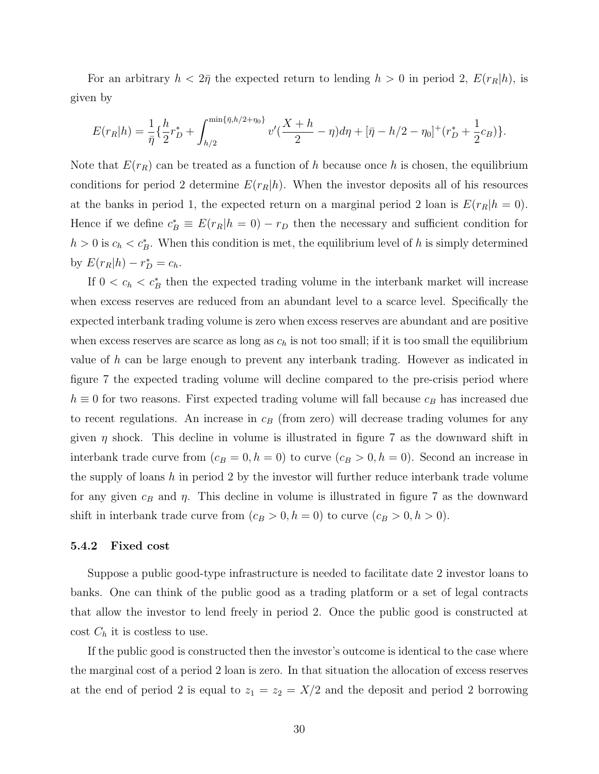For an arbitrary  $h < 2\bar{\eta}$  the expected return to lending  $h > 0$  in period 2,  $E(r_R|h)$ , is given by

$$
E(r_R|h) = \frac{1}{\bar{\eta}} \left\{ \frac{h}{2} r_D^* + \int_{h/2}^{\min\{\bar{\eta}, h/2 + \eta_0\}} v'(\frac{X+h}{2} - \eta) d\eta + [\bar{\eta} - h/2 - \eta_0]^+(r_D^* + \frac{1}{2}c_B) \right\}.
$$

Note that  $E(r_R)$  can be treated as a function of h because once h is chosen, the equilibrium conditions for period 2 determine  $E(r_R|h)$ . When the investor deposits all of his resources at the banks in period 1, the expected return on a marginal period 2 loan is  $E(r_R|h=0)$ . Hence if we define  $c_B^* \equiv E(r_R|h=0) - r_D$  then the necessary and sufficient condition for  $h > 0$  is  $c_h < c_B^*$ . When this condition is met, the equilibrium level of h is simply determined by  $E(r_R|h) - r_D^* = c_h$ .

If  $0 < c_h < c_B^*$  then the expected trading volume in the interbank market will increase when excess reserves are reduced from an abundant level to a scarce level. Specifically the expected interbank trading volume is zero when excess reserves are abundant and are positive when excess reserves are scarce as long as  $c_h$  is not too small; if it is too small the equilibrium value of h can be large enough to prevent any interbank trading. However as indicated in figure 7 the expected trading volume will decline compared to the pre-crisis period where  $h\equiv 0$  for two reasons. First expected trading volume will fall because  $c_B$  has increased due to recent regulations. An increase in  $c_B$  (from zero) will decrease trading volumes for any given  $\eta$  shock. This decline in volume is illustrated in figure 7 as the downward shift in interbank trade curve from  $(c_B = 0, h = 0)$  to curve  $(c_B > 0, h = 0)$ . Second an increase in the supply of loans h in period 2 by the investor will further reduce interbank trade volume for any given  $c_B$  and  $\eta$ . This decline in volume is illustrated in figure 7 as the downward shift in interbank trade curve from  $(c_B > 0, h = 0)$  to curve  $(c_B > 0, h > 0)$ .

#### 5.4.2 Fixed cost

Suppose a public good-type infrastructure is needed to facilitate date 2 investor loans to banks. One can think of the public good as a trading platform or a set of legal contracts that allow the investor to lend freely in period 2. Once the public good is constructed at cost  $C_h$  it is costless to use.

If the public good is constructed then the investor's outcome is identical to the case where the marginal cost of a period 2 loan is zero. In that situation the allocation of excess reserves at the end of period 2 is equal to  $z_1 = z_2 = X/2$  and the deposit and period 2 borrowing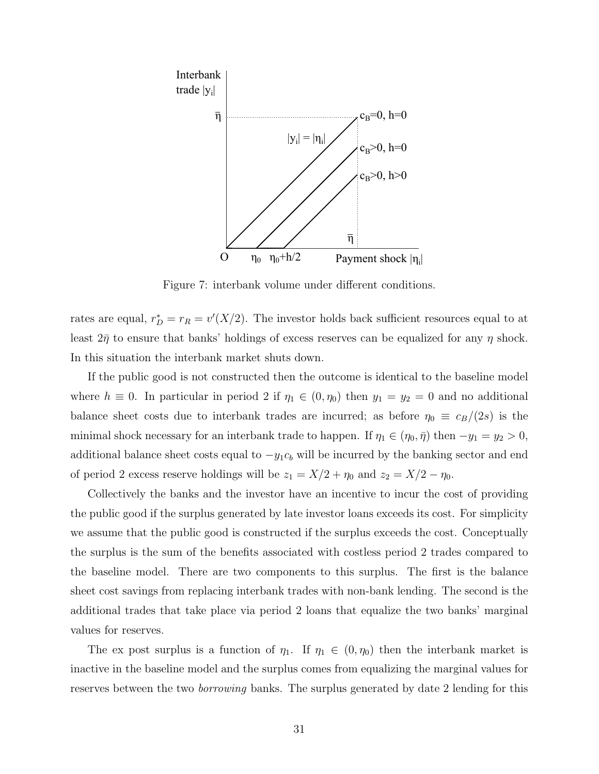

Figure 7: interbank volume under different conditions.

rates are equal,  $r_D^* = r_R = v'(X/2)$ . The investor holds back sufficient resources equal to at least  $2\bar{\eta}$  to ensure that banks' holdings of excess reserves can be equalized for any  $\eta$  shock. In this situation the interbank market shuts down.

If the public good is not constructed then the outcome is identical to the baseline model where  $h \equiv 0$ . In particular in period 2 if  $\eta_1 \in (0, \eta_0)$  then  $y_1 = y_2 = 0$  and no additional balance sheet costs due to interbank trades are incurred; as before  $\eta_0 \equiv c_B/(2s)$  is the minimal shock necessary for an interbank trade to happen. If  $\eta_1 \in (\eta_0, \bar{\eta})$  then  $-y_1 = y_2 > 0$ , additional balance sheet costs equal to  $-y_1c_b$  will be incurred by the banking sector and end of period 2 excess reserve holdings will be  $z_1 = X/2 + \eta_0$  and  $z_2 = X/2 - \eta_0$ .

Collectively the banks and the investor have an incentive to incur the cost of providing the public good if the surplus generated by late investor loans exceeds its cost. For simplicity we assume that the public good is constructed if the surplus exceeds the cost. Conceptually the surplus is the sum of the benefits associated with costless period 2 trades compared to the baseline model. There are two components to this surplus. The first is the balance sheet cost savings from replacing interbank trades with non-bank lending. The second is the additional trades that take place via period 2 loans that equalize the two banks' marginal values for reserves.

The ex post surplus is a function of  $\eta_1$ . If  $\eta_1 \in (0, \eta_0)$  then the interbank market is inactive in the baseline model and the surplus comes from equalizing the marginal values for reserves between the two *borrowing* banks. The surplus generated by date 2 lending for this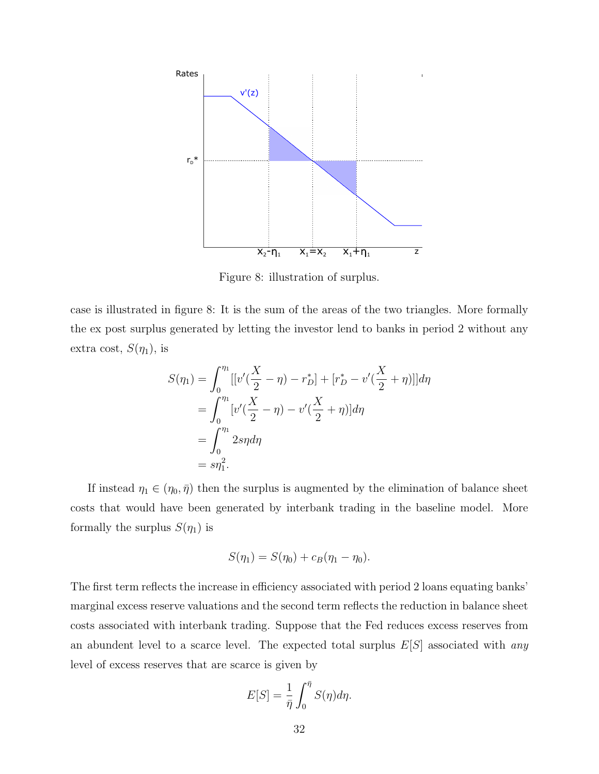

Figure 8: illustration of surplus.

case is illustrated in figure 8: It is the sum of the areas of the two triangles. More formally the ex post surplus generated by letting the investor lend to banks in period 2 without any extra cost,  $S(\eta_1)$ , is

$$
S(\eta_1) = \int_0^{\eta_1} [[v'(\frac{X}{2} - \eta) - r_D^*] + [r_D^* - v'(\frac{X}{2} + \eta)]]d\eta
$$
  
= 
$$
\int_0^{\eta_1} [v'(\frac{X}{2} - \eta) - v'(\frac{X}{2} + \eta)]d\eta
$$
  
= 
$$
\int_0^{\eta_1} 2s\eta d\eta
$$
  
= 
$$
s\eta_1^2.
$$

If instead  $\eta_1 \in (\eta_0, \bar{\eta})$  then the surplus is augmented by the elimination of balance sheet costs that would have been generated by interbank trading in the baseline model. More formally the surplus  $S(\eta_1)$  is

$$
S(\eta_1) = S(\eta_0) + c_B(\eta_1 - \eta_0).
$$

The first term reflects the increase in efficiency associated with period 2 loans equating banks' marginal excess reserve valuations and the second term reflects the reduction in balance sheet costs associated with interbank trading. Suppose that the Fed reduces excess reserves from an abundent level to a scarce level. The expected total surplus  $E[S]$  associated with any level of excess reserves that are scarce is given by

$$
E[S] = \frac{1}{\bar{\eta}} \int_0^{\bar{\eta}} S(\eta) d\eta.
$$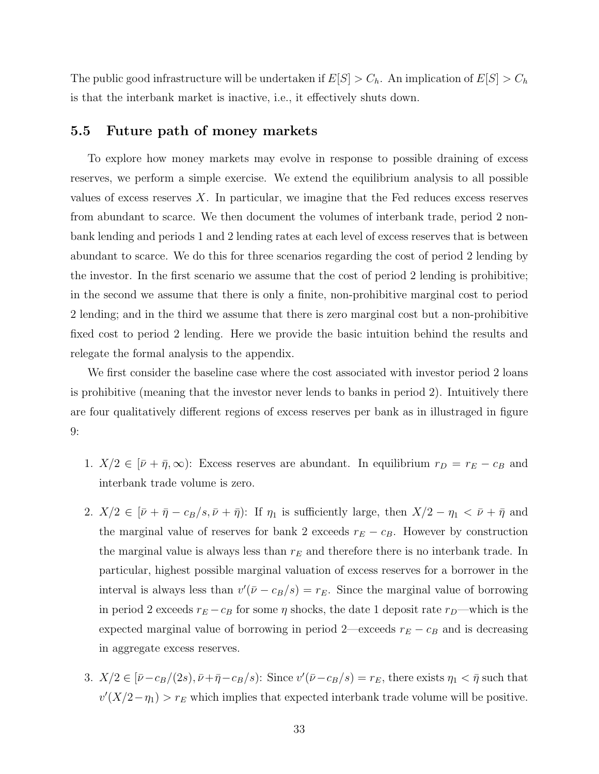The public good infrastructure will be undertaken if  $E[S] > C_h$ . An implication of  $E[S] > C_h$ is that the interbank market is inactive, i.e., it effectively shuts down.

#### 5.5 Future path of money markets

To explore how money markets may evolve in response to possible draining of excess reserves, we perform a simple exercise. We extend the equilibrium analysis to all possible values of excess reserves  $X$ . In particular, we imagine that the Fed reduces excess reserves from abundant to scarce. We then document the volumes of interbank trade, period 2 nonbank lending and periods 1 and 2 lending rates at each level of excess reserves that is between abundant to scarce. We do this for three scenarios regarding the cost of period 2 lending by the investor. In the first scenario we assume that the cost of period 2 lending is prohibitive; in the second we assume that there is only a finite, non-prohibitive marginal cost to period 2 lending; and in the third we assume that there is zero marginal cost but a non-prohibitive fixed cost to period 2 lending. Here we provide the basic intuition behind the results and relegate the formal analysis to the appendix.

We first consider the baseline case where the cost associated with investor period 2 loans is prohibitive (meaning that the investor never lends to banks in period 2). Intuitively there are four qualitatively different regions of excess reserves per bank as in illustraged in figure 9:

- 1.  $X/2 \in [\bar{\nu} + \bar{\eta}, \infty)$ : Excess reserves are abundant. In equilibrium  $r_D = r_E c_B$  and interbank trade volume is zero.
- 2.  $X/2 \in [\bar{\nu} + \bar{\eta} c_B/s, \bar{\nu} + \bar{\eta})$ : If  $\eta_1$  is sufficiently large, then  $X/2 \eta_1 < \bar{\nu} + \bar{\eta}$  and the marginal value of reserves for bank 2 exceeds  $r_E - c_B$ . However by construction the marginal value is always less than  $r_E$  and therefore there is no interbank trade. In particular, highest possible marginal valuation of excess reserves for a borrower in the interval is always less than  $v'(\bar{\nu} - c_B/s) = r_E$ . Since the marginal value of borrowing in period 2 exceeds  $r_E - c_B$  for some  $\eta$  shocks, the date 1 deposit rate  $r_D$ —which is the expected marginal value of borrowing in period 2—exceeds  $r_E - c_B$  and is decreasing in aggregate excess reserves.
- 3.  $X/2 \in [\bar{\nu} c_B/(2s), \bar{\nu} + \bar{\eta} c_B/s)$ : Since  $v'(\bar{\nu} c_B/s) = r_E$ , there exists  $\eta_1 < \bar{\eta}$  such that  $v'(X/2 - \eta_1) > r_E$  which implies that expected interbank trade volume will be positive.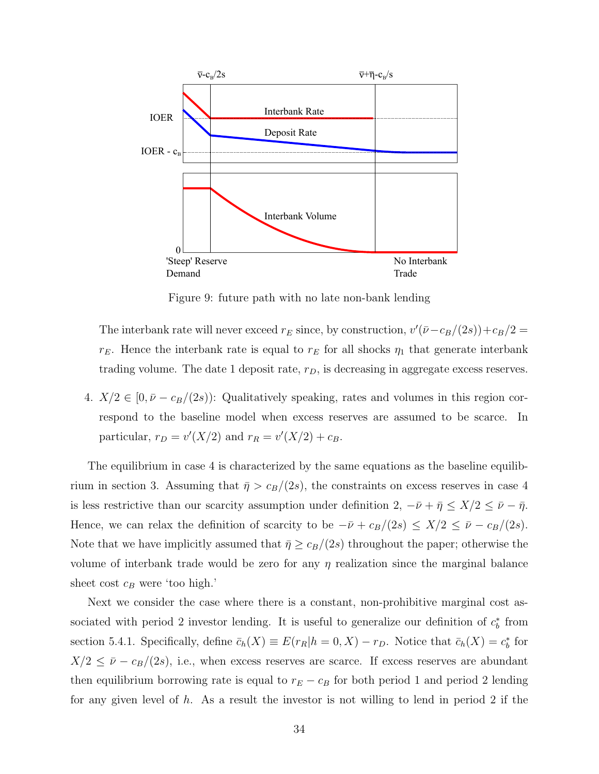

Figure 9: future path with no late non-bank lending

The interbank rate will never exceed  $r_E$  since, by construction,  $v'(\bar{\nu}-c_B/(2s))+c_B/2=$  $r_E$ . Hence the interbank rate is equal to  $r_E$  for all shocks  $\eta_1$  that generate interbank trading volume. The date 1 deposit rate,  $r_D$ , is decreasing in aggregate excess reserves.

4.  $X/2 \in [0, \bar{\nu} - c_B/(2s))$ : Qualitatively speaking, rates and volumes in this region correspond to the baseline model when excess reserves are assumed to be scarce. In particular,  $r_D = v'(X/2)$  and  $r_R = v'(X/2) + c_B$ .

The equilibrium in case 4 is characterized by the same equations as the baseline equilibrium in section 3. Assuming that  $\bar{\eta} > c_B/(2s)$ , the constraints on excess reserves in case 4 is less restrictive than our scarcity assumption under definition 2,  $-\bar{\nu} + \bar{\eta} \leq X/2 \leq \bar{\nu} - \bar{\eta}$ . Hence, we can relax the definition of scarcity to be  $-\bar{\nu} + c_B/(2s) \leq X/2 \leq \bar{\nu} - c_B/(2s)$ . Note that we have implicitly assumed that  $\bar{\eta} \geq c_B/(2s)$  throughout the paper; otherwise the volume of interbank trade would be zero for any  $\eta$  realization since the marginal balance sheet cost  $c_B$  were 'too high.'

Next we consider the case where there is a constant, non-prohibitive marginal cost associated with period 2 investor lending. It is useful to generalize our definition of  $c_b^*$  from section 5.4.1. Specifically, define  $\bar{c}_h(X) \equiv E(r_R|h = 0, X) - r_D$ . Notice that  $\bar{c}_h(X) = c_b^*$  for  $X/2 \leq \bar{\nu} - c_B/(2s)$ , i.e., when excess reserves are scarce. If excess reserves are abundant then equilibrium borrowing rate is equal to  $r_E - c_B$  for both period 1 and period 2 lending for any given level of h. As a result the investor is not willing to lend in period 2 if the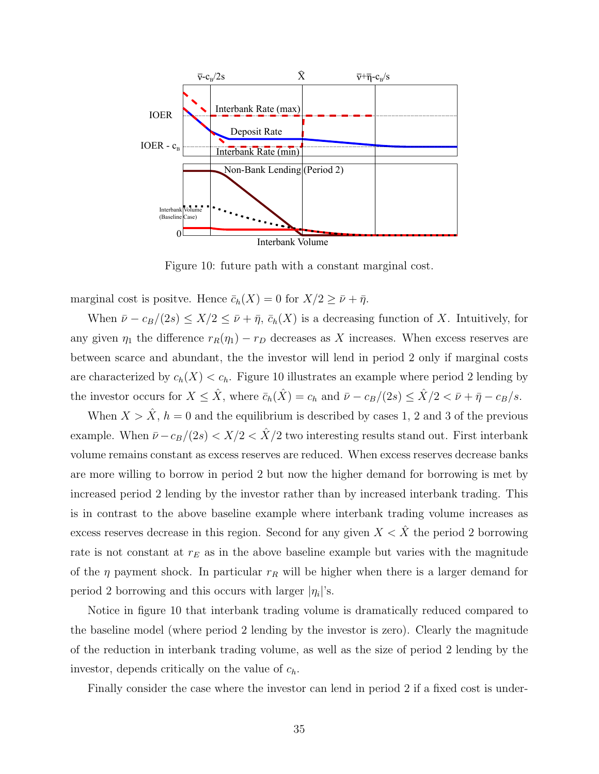

Figure 10: future path with a constant marginal cost.

marginal cost is positve. Hence  $\bar{c}_h(X) = 0$  for  $X/2 \ge \bar{\nu} + \bar{\eta}$ .

When  $\bar{\nu} - c_B/(2s) \leq X/2 \leq \bar{\nu} + \bar{\eta}$ ,  $\bar{c}_h(X)$  is a decreasing function of X. Intuitively, for any given  $\eta_1$  the difference  $r_R(\eta_1) - r_D$  decreases as X increases. When excess reserves are between scarce and abundant, the the investor will lend in period 2 only if marginal costs are characterized by  $c_h(X) < c_h$ . Figure 10 illustrates an example where period 2 lending by the investor occurs for  $X \leq \hat{X}$ , where  $\bar{c}_h(\hat{X}) = c_h$  and  $\bar{\nu} - c_B/(2s) \leq \hat{X}/2 < \bar{\nu} + \bar{\eta} - c_B/s$ .

When  $X > \hat{X}$ ,  $h = 0$  and the equilibrium is described by cases 1, 2 and 3 of the previous example. When  $\bar{\nu} - c_B/(2s) < X/2 < \hat{X}/2$  two interesting results stand out. First interbank volume remains constant as excess reserves are reduced. When excess reserves decrease banks are more willing to borrow in period 2 but now the higher demand for borrowing is met by increased period 2 lending by the investor rather than by increased interbank trading. This is in contrast to the above baseline example where interbank trading volume increases as excess reserves decrease in this region. Second for any given  $X < \hat{X}$  the period 2 borrowing rate is not constant at  $r_E$  as in the above baseline example but varies with the magnitude of the  $\eta$  payment shock. In particular  $r_R$  will be higher when there is a larger demand for period 2 borrowing and this occurs with larger  $|\eta_i|$ 's.

Notice in figure 10 that interbank trading volume is dramatically reduced compared to the baseline model (where period 2 lending by the investor is zero). Clearly the magnitude of the reduction in interbank trading volume, as well as the size of period 2 lending by the investor, depends critically on the value of  $c_h$ .

Finally consider the case where the investor can lend in period 2 if a fixed cost is under-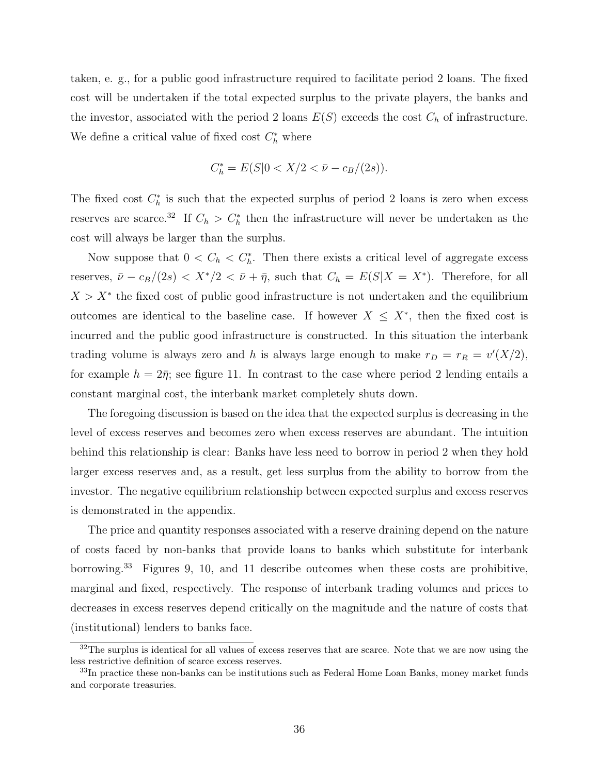taken, e. g., for a public good infrastructure required to facilitate period 2 loans. The fixed cost will be undertaken if the total expected surplus to the private players, the banks and the investor, associated with the period 2 loans  $E(S)$  exceeds the cost  $C_h$  of infrastructure. We define a critical value of fixed cost  $C_h^*$  where

$$
C_h^* = E(S|0 < X/2 < \bar{\nu} - c_B/(2s)).
$$

The fixed cost  $C_h^*$  is such that the expected surplus of period 2 loans is zero when excess reserves are scarce.<sup>32</sup> If  $C_h > C_h^*$  then the infrastructure will never be undertaken as the cost will always be larger than the surplus.

Now suppose that  $0 < C_h < C_h^*$ . Then there exists a critical level of aggregate excess reserves,  $\bar{\nu} - c_B/(2s) < X^*/2 < \bar{\nu} + \bar{\eta}$ , such that  $C_h = E(S|X = X^*)$ . Therefore, for all  $X > X^*$  the fixed cost of public good infrastructure is not undertaken and the equilibrium outcomes are identical to the baseline case. If however  $X \leq X^*$ , then the fixed cost is incurred and the public good infrastructure is constructed. In this situation the interbank trading volume is always zero and h is always large enough to make  $r_D = r_R = v'(X/2)$ , for example  $h = 2\bar{\eta}$ ; see figure 11. In contrast to the case where period 2 lending entails a constant marginal cost, the interbank market completely shuts down.

The foregoing discussion is based on the idea that the expected surplus is decreasing in the level of excess reserves and becomes zero when excess reserves are abundant. The intuition behind this relationship is clear: Banks have less need to borrow in period 2 when they hold larger excess reserves and, as a result, get less surplus from the ability to borrow from the investor. The negative equilibrium relationship between expected surplus and excess reserves is demonstrated in the appendix.

The price and quantity responses associated with a reserve draining depend on the nature of costs faced by non-banks that provide loans to banks which substitute for interbank borrowing.<sup>33</sup> Figures 9, 10, and 11 describe outcomes when these costs are prohibitive, marginal and fixed, respectively. The response of interbank trading volumes and prices to decreases in excess reserves depend critically on the magnitude and the nature of costs that (institutional) lenders to banks face.

<sup>&</sup>lt;sup>32</sup>The surplus is identical for all values of excess reserves that are scarce. Note that we are now using the less restrictive definition of scarce excess reserves.

<sup>&</sup>lt;sup>33</sup>In practice these non-banks can be institutions such as Federal Home Loan Banks, money market funds and corporate treasuries.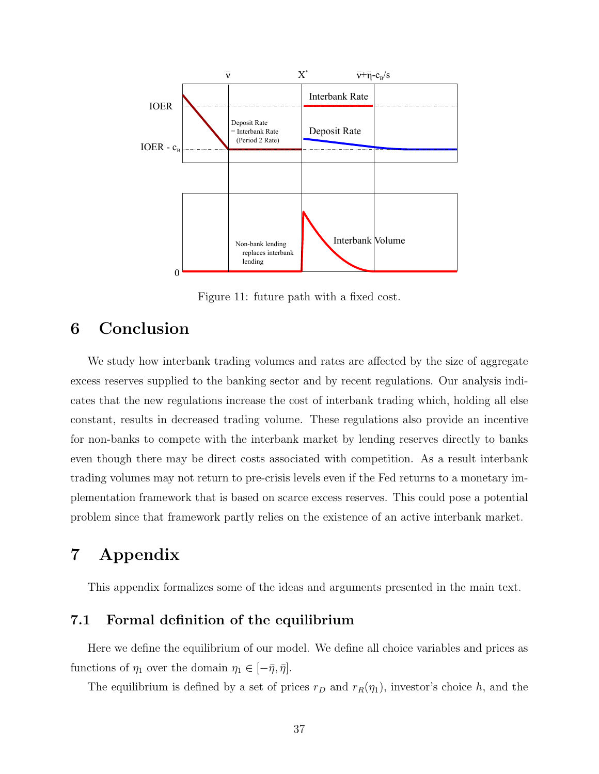

Figure 11: future path with a fixed cost.

# 6 Conclusion

We study how interbank trading volumes and rates are affected by the size of aggregate excess reserves supplied to the banking sector and by recent regulations. Our analysis indicates that the new regulations increase the cost of interbank trading which, holding all else constant, results in decreased trading volume. These regulations also provide an incentive for non-banks to compete with the interbank market by lending reserves directly to banks even though there may be direct costs associated with competition. As a result interbank trading volumes may not return to pre-crisis levels even if the Fed returns to a monetary implementation framework that is based on scarce excess reserves. This could pose a potential problem since that framework partly relies on the existence of an active interbank market.

# 7 Appendix

This appendix formalizes some of the ideas and arguments presented in the main text.

## 7.1 Formal definition of the equilibrium

Here we define the equilibrium of our model. We define all choice variables and prices as functions of  $\eta_1$  over the domain  $\eta_1 \in [-\bar{\eta}, \bar{\eta}]$ .

The equilibrium is defined by a set of prices  $r_D$  and  $r_R(\eta_1)$ , investor's choice h, and the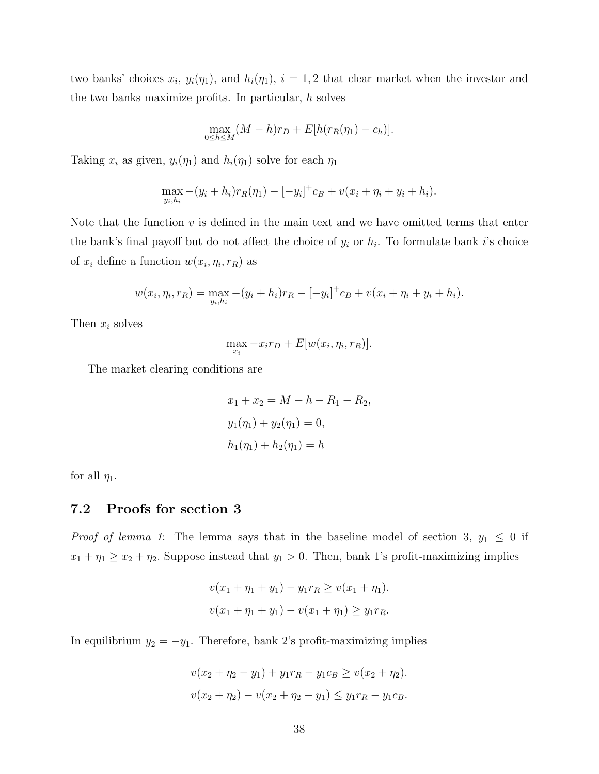two banks' choices  $x_i$ ,  $y_i(\eta_1)$ , and  $h_i(\eta_1)$ ,  $i = 1, 2$  that clear market when the investor and the two banks maximize profits. In particular, h solves

$$
\max_{0 \le h \le M} (M - h)r_D + E[h(r_R(\eta_1) - c_h)].
$$

Taking  $x_i$  as given,  $y_i(\eta_1)$  and  $h_i(\eta_1)$  solve for each  $\eta_1$ 

$$
\max_{y_i, h_i} -(y_i + h_i) r_R(\eta_1) - [-y_i]^+ c_B + v(x_i + \eta_i + y_i + h_i).
$$

Note that the function  $v$  is defined in the main text and we have omitted terms that enter the bank's final payoff but do not affect the choice of  $y_i$  or  $h_i$ . To formulate bank i's choice of  $x_i$  define a function  $w(x_i, \eta_i, r_R)$  as

$$
w(x_i, \eta_i, r_R) = \max_{y_i, h_i} -(y_i + h_i)r_R - [-y_i]^+ c_B + v(x_i + \eta_i + y_i + h_i).
$$

Then  $x_i$  solves

$$
\max_{x_i} -x_i r_D + E[w(x_i, \eta_i, r_R)].
$$

The market clearing conditions are

$$
x_1 + x_2 = M - h - R_1 - R_2,
$$
  
\n
$$
y_1(\eta_1) + y_2(\eta_1) = 0,
$$
  
\n
$$
h_1(\eta_1) + h_2(\eta_1) = h
$$

for all  $\eta_1$ .

## 7.2 Proofs for section 3

*Proof of lemma 1*: The lemma says that in the baseline model of section 3,  $y_1 \leq 0$  if  $x_1 + \eta_1 \ge x_2 + \eta_2$ . Suppose instead that  $y_1 > 0$ . Then, bank 1's profit-maximizing implies

$$
v(x_1 + \eta_1 + y_1) - y_1 r_R \ge v(x_1 + \eta_1).
$$
  

$$
v(x_1 + \eta_1 + y_1) - v(x_1 + \eta_1) \ge y_1 r_R.
$$

In equilibrium  $y_2 = -y_1$ . Therefore, bank 2's profit-maximizing implies

$$
v(x_2 + \eta_2 - y_1) + y_1 r_R - y_1 c_B \ge v(x_2 + \eta_2).
$$
  

$$
v(x_2 + \eta_2) - v(x_2 + \eta_2 - y_1) \le y_1 r_R - y_1 c_B.
$$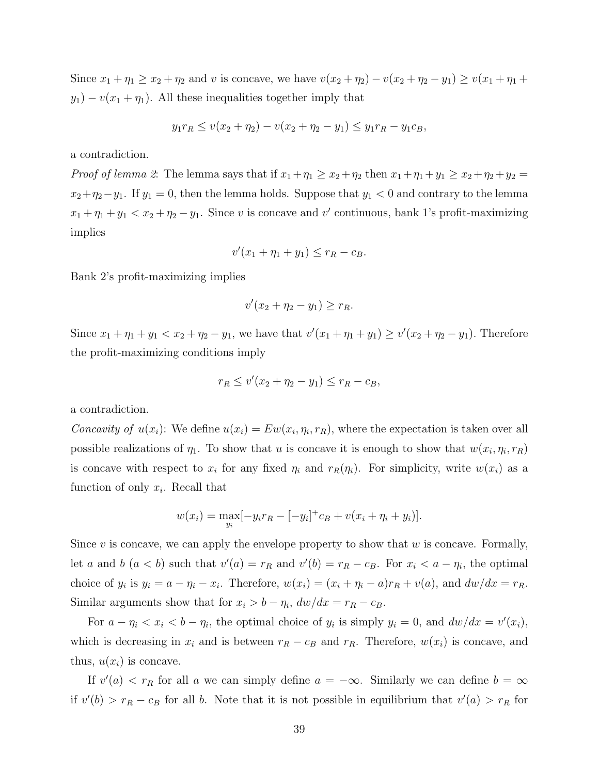Since  $x_1 + \eta_1 \ge x_2 + \eta_2$  and v is concave, we have  $v(x_2 + \eta_2) - v(x_2 + \eta_2 - y_1) \ge v(x_1 + \eta_1 + y_2)$  $y_1$ ) –  $v(x_1 + \eta_1)$ . All these inequalities together imply that

$$
y_1r_R \le v(x_2+\eta_2) - v(x_2+\eta_2-y_1) \le y_1r_R - y_1c_B,
$$

a contradiction.

*Proof of lemma 2*: The lemma says that if  $x_1 + \eta_1 \ge x_2 + \eta_2$  then  $x_1 + \eta_1 + y_1 \ge x_2 + \eta_2 + y_2 =$  $x_2+\eta_2-y_1$ . If  $y_1=0$ , then the lemma holds. Suppose that  $y_1 < 0$  and contrary to the lemma  $x_1 + \eta_1 + y_1 < x_2 + \eta_2 - y_1$ . Since v is concave and v' continuous, bank 1's profit-maximizing implies

$$
v'(x_1 + \eta_1 + y_1) \le r_R - c_B.
$$

Bank 2's profit-maximizing implies

$$
v'(x_2 + \eta_2 - y_1) \ge r_R.
$$

Since  $x_1 + \eta_1 + y_1 < x_2 + \eta_2 - y_1$ , we have that  $v'(x_1 + \eta_1 + y_1) \ge v'(x_2 + \eta_2 - y_1)$ . Therefore the profit-maximizing conditions imply

$$
r_R \le v'(x_2 + \eta_2 - y_1) \le r_R - c_B,
$$

a contradiction.

Concavity of  $u(x_i)$ : We define  $u(x_i) = Ew(x_i, \eta_i, r_R)$ , where the expectation is taken over all possible realizations of  $\eta_1$ . To show that u is concave it is enough to show that  $w(x_i, \eta_i, r_R)$ is concave with respect to  $x_i$  for any fixed  $\eta_i$  and  $r_R(\eta_i)$ . For simplicity, write  $w(x_i)$  as a function of only  $x_i$ . Recall that

$$
w(x_i) = \max_{y_i} [-y_i r_R - [-y_i]^+ c_B + v(x_i + \eta_i + y_i)].
$$

Since v is concave, we can apply the envelope property to show that  $w$  is concave. Formally, let a and b  $(a < b)$  such that  $v'(a) = r_R$  and  $v'(b) = r_R - c_B$ . For  $x_i < a - \eta_i$ , the optimal choice of  $y_i$  is  $y_i = a - \eta_i - x_i$ . Therefore,  $w(x_i) = (x_i + \eta_i - a)r_R + v(a)$ , and  $dw/dx = r_R$ . Similar arguments show that for  $x_i > b - \eta_i$ ,  $dw/dx = r_R - c_B$ .

For  $a - \eta_i < x_i < b - \eta_i$ , the optimal choice of  $y_i$  is simply  $y_i = 0$ , and  $dw/dx = v'(x_i)$ , which is decreasing in  $x_i$  and is between  $r_R - c_B$  and  $r_R$ . Therefore,  $w(x_i)$  is concave, and thus,  $u(x_i)$  is concave.

If  $v'(a) < r_R$  for all a we can simply define  $a = -\infty$ . Similarly we can define  $b = \infty$ if  $v'(b) > r_R - c_B$  for all b. Note that it is not possible in equilibrium that  $v'(a) > r_R$  for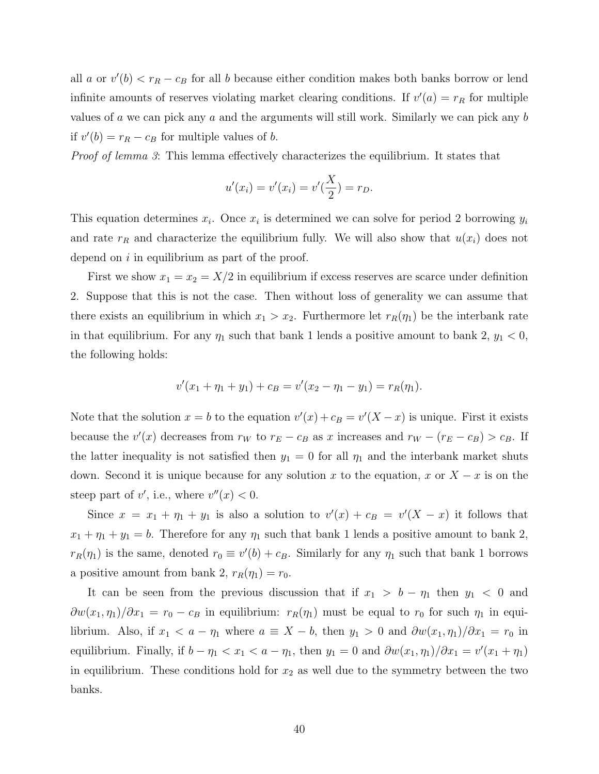all a or  $v'(b) < r_R - c_B$  for all b because either condition makes both banks borrow or lend infinite amounts of reserves violating market clearing conditions. If  $v'(a) = r_R$  for multiple values of a we can pick any a and the arguments will still work. Similarly we can pick any b if  $v'(b) = r_R - c_B$  for multiple values of b.

Proof of lemma 3: This lemma effectively characterizes the equilibrium. It states that

$$
u'(x_i) = v'(x_i) = v'\left(\frac{X}{2}\right) = r_D.
$$

This equation determines  $x_i$ . Once  $x_i$  is determined we can solve for period 2 borrowing  $y_i$ and rate  $r_R$  and characterize the equilibrium fully. We will also show that  $u(x_i)$  does not depend on i in equilibrium as part of the proof.

First we show  $x_1 = x_2 = X/2$  in equilibrium if excess reserves are scarce under definition 2. Suppose that this is not the case. Then without loss of generality we can assume that there exists an equilibrium in which  $x_1 > x_2$ . Furthermore let  $r_R(\eta_1)$  be the interbank rate in that equilibrium. For any  $\eta_1$  such that bank 1 lends a positive amount to bank 2,  $y_1 < 0$ , the following holds:

$$
v'(x_1 + \eta_1 + y_1) + c_B = v'(x_2 - \eta_1 - y_1) = r_R(\eta_1).
$$

Note that the solution  $x = b$  to the equation  $v'(x) + c_B = v'(X - x)$  is unique. First it exists because the  $v'(x)$  decreases from  $r_W$  to  $r_E - c_B$  as x increases and  $r_W - (r_E - c_B) > c_B$ . If the latter inequality is not satisfied then  $y_1 = 0$  for all  $\eta_1$  and the interbank market shuts down. Second it is unique because for any solution x to the equation, x or  $X - x$  is on the steep part of v', i.e., where  $v''(x) < 0$ .

Since  $x = x_1 + \eta_1 + y_1$  is also a solution to  $v'(x) + c_B = v'(X - x)$  it follows that  $x_1 + \eta_1 + y_1 = b$ . Therefore for any  $\eta_1$  such that bank 1 lends a positive amount to bank 2,  $r_R(\eta_1)$  is the same, denoted  $r_0 \equiv v'(b) + c_B$ . Similarly for any  $\eta_1$  such that bank 1 borrows a positive amount from bank 2,  $r_R(\eta_1) = r_0$ .

It can be seen from the previous discussion that if  $x_1 > b - \eta_1$  then  $y_1 < 0$  and  $\frac{\partial w(x_1, \eta_1)}{\partial x_1} = r_0 - c_B$  in equilibrium:  $r_R(\eta_1)$  must be equal to  $r_0$  for such  $\eta_1$  in equilibrium. Also, if  $x_1 < a - \eta_1$  where  $a \equiv X - b$ , then  $y_1 > 0$  and  $\frac{\partial w(x_1, \eta_1)}{\partial x_1} = r_0$  in equilibrium. Finally, if  $b - \eta_1 < x_1 < a - \eta_1$ , then  $y_1 = 0$  and  $\frac{\partial w(x_1, \eta_1)}{\partial x_1} = v'(x_1 + \eta_1)$ in equilibrium. These conditions hold for  $x_2$  as well due to the symmetry between the two banks.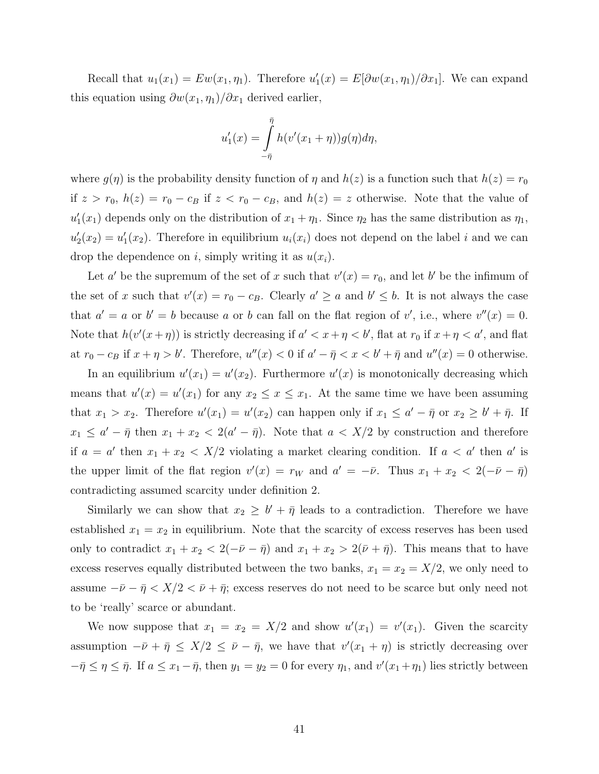Recall that  $u_1(x_1) = Ew(x_1, \eta_1)$ . Therefore  $u'_1(x) = E[\partial w(x_1, \eta_1)/\partial x_1]$ . We can expand this equation using  $\frac{\partial w(x_1, \eta_1)}{\partial x_1}$  derived earlier,

$$
u_1'(x) = \int_{-\bar{\eta}}^{\bar{\eta}} h(v'(x_1 + \eta))g(\eta) d\eta,
$$

where  $g(\eta)$  is the probability density function of  $\eta$  and  $h(z)$  is a function such that  $h(z) = r_0$ if  $z > r_0$ ,  $h(z) = r_0 - c_B$  if  $z < r_0 - c_B$ , and  $h(z) = z$  otherwise. Note that the value of  $u'_1(x_1)$  depends only on the distribution of  $x_1 + \eta_1$ . Since  $\eta_2$  has the same distribution as  $\eta_1$ ,  $u'_2(x_2) = u'_1(x_2)$ . Therefore in equilibrium  $u_i(x_i)$  does not depend on the label i and we can drop the dependence on i, simply writing it as  $u(x_i)$ .

Let a' be the supremum of the set of x such that  $v'(x) = r_0$ , and let b' be the infimum of the set of x such that  $v'(x) = r_0 - c_B$ . Clearly  $a' \ge a$  and  $b' \le b$ . It is not always the case that  $a' = a$  or  $b' = b$  because a or b can fall on the flat region of v', i.e., where  $v''(x) = 0$ . Note that  $h(v'(x+\eta))$  is strictly decreasing if  $a' < x + \eta < b'$ , flat at  $r_0$  if  $x + \eta < a'$ , and flat at  $r_0 - c_B$  if  $x + \eta > b'$ . Therefore,  $u''(x) < 0$  if  $a' - \overline{\eta} < x < b' + \overline{\eta}$  and  $u''(x) = 0$  otherwise.

In an equilibrium  $u'(x_1) = u'(x_2)$ . Furthermore  $u'(x)$  is monotonically decreasing which means that  $u'(x) = u'(x_1)$  for any  $x_2 \le x \le x_1$ . At the same time we have been assuming that  $x_1 > x_2$ . Therefore  $u'(x_1) = u'(x_2)$  can happen only if  $x_1 \le a' - \bar{\eta}$  or  $x_2 \ge b' + \bar{\eta}$ . If  $x_1 \le a' - \bar{\eta}$  then  $x_1 + x_2 < 2(a' - \bar{\eta})$ . Note that  $a < X/2$  by construction and therefore if  $a = a'$  then  $x_1 + x_2 < X/2$  violating a market clearing condition. If  $a < a'$  then a' is the upper limit of the flat region  $v'(x) = r_W$  and  $a' = -\bar{\nu}$ . Thus  $x_1 + x_2 < 2(-\bar{\nu} - \bar{\eta})$ contradicting assumed scarcity under definition 2.

Similarly we can show that  $x_2 \geq b' + \bar{\eta}$  leads to a contradiction. Therefore we have established  $x_1 = x_2$  in equilibrium. Note that the scarcity of excess reserves has been used only to contradict  $x_1 + x_2 < 2(-\bar{\nu} - \bar{\eta})$  and  $x_1 + x_2 > 2(\bar{\nu} + \bar{\eta})$ . This means that to have excess reserves equally distributed between the two banks,  $x_1 = x_2 = X/2$ , we only need to assume  $-\bar{\nu}-\bar{\eta} < X/2 < \bar{\nu}+\bar{\eta}$ ; excess reserves do not need to be scarce but only need not to be 'really' scarce or abundant.

We now suppose that  $x_1 = x_2 = X/2$  and show  $u'(x_1) = v'(x_1)$ . Given the scarcity assumption  $-\bar{\nu} + \bar{\eta} \leq X/2 \leq \bar{\nu} - \bar{\eta}$ , we have that  $v'(x_1 + \eta)$  is strictly decreasing over  $-\bar{\eta} \leq \eta \leq \bar{\eta}$ . If  $a \leq x_1 - \bar{\eta}$ , then  $y_1 = y_2 = 0$  for every  $\eta_1$ , and  $v'(x_1 + \eta_1)$  lies strictly between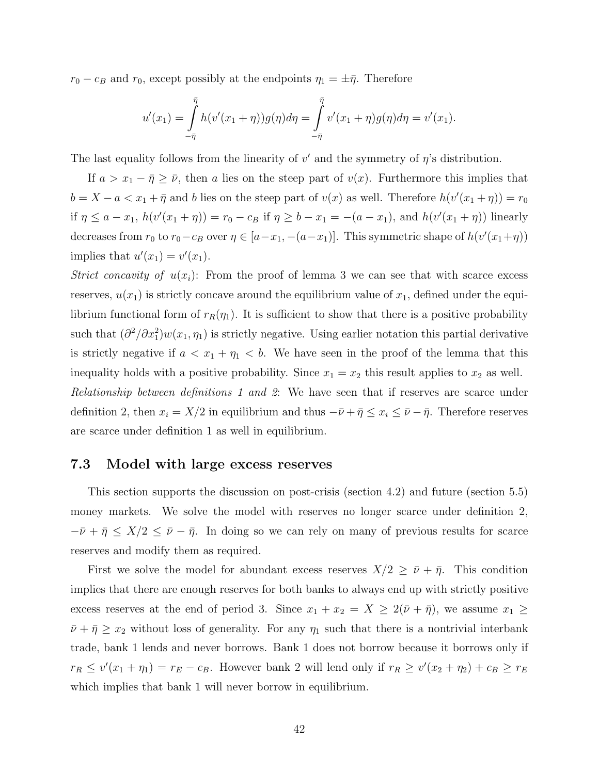$r_0 - c_B$  and  $r_0$ , except possibly at the endpoints  $\eta_1 = \pm \bar{\eta}$ . Therefore

$$
u'(x_1) = \int_{-\bar{\eta}}^{\bar{\eta}} h(v'(x_1 + \eta))g(\eta) d\eta = \int_{-\bar{\eta}}^{\bar{\eta}} v'(x_1 + \eta)g(\eta) d\eta = v'(x_1).
$$

The last equality follows from the linearity of  $v'$  and the symmetry of  $\eta$ 's distribution.

If  $a > x_1 - \bar{\eta} \geq \bar{\nu}$ , then a lies on the steep part of  $v(x)$ . Furthermore this implies that  $b = X - a < x_1 + \bar{\eta}$  and b lies on the steep part of  $v(x)$  as well. Therefore  $h(v'(x_1 + \eta)) = r_0$ if  $\eta \le a - x_1$ ,  $h(v'(x_1 + \eta)) = r_0 - c_B$  if  $\eta \ge b - x_1 = -(a - x_1)$ , and  $h(v'(x_1 + \eta))$  linearly decreases from  $r_0$  to  $r_0 - c_B$  over  $\eta \in [a - x_1, -(a - x_1)]$ . This symmetric shape of  $h(v'(x_1 + \eta))$ implies that  $u'(x_1) = v'(x_1)$ .

Strict concavity of  $u(x_i)$ : From the proof of lemma 3 we can see that with scarce excess reserves,  $u(x_1)$  is strictly concave around the equilibrium value of  $x_1$ , defined under the equilibrium functional form of  $r_R(\eta_1)$ . It is sufficient to show that there is a positive probability such that  $(\partial^2/\partial x_1^2)w(x_1,\eta_1)$  is strictly negative. Using earlier notation this partial derivative is strictly negative if  $a < x_1 + \eta_1 < b$ . We have seen in the proof of the lemma that this inequality holds with a positive probability. Since  $x_1 = x_2$  this result applies to  $x_2$  as well. Relationship between definitions 1 and 2: We have seen that if reserves are scarce under definition 2, then  $x_i = X/2$  in equilibrium and thus  $-\bar{\nu} + \bar{\eta} \leq x_i \leq \bar{\nu} - \bar{\eta}$ . Therefore reserves are scarce under definition 1 as well in equilibrium.

#### 7.3 Model with large excess reserves

This section supports the discussion on post-crisis (section 4.2) and future (section 5.5) money markets. We solve the model with reserves no longer scarce under definition 2,  $-\bar{\nu} + \bar{\eta} \leq X/2 \leq \bar{\nu} - \bar{\eta}$ . In doing so we can rely on many of previous results for scarce reserves and modify them as required.

First we solve the model for abundant excess reserves  $X/2 \geq \bar{\nu} + \bar{\eta}$ . This condition implies that there are enough reserves for both banks to always end up with strictly positive excess reserves at the end of period 3. Since  $x_1 + x_2 = X \ge 2(\bar{\nu} + \bar{\eta})$ , we assume  $x_1 \ge$  $\bar{\nu} + \bar{\eta} \geq x_2$  without loss of generality. For any  $\eta_1$  such that there is a nontrivial interbank trade, bank 1 lends and never borrows. Bank 1 does not borrow because it borrows only if  $r_R \le v'(x_1 + \eta_1) = r_E - c_B$ . However bank 2 will lend only if  $r_R \ge v'(x_2 + \eta_2) + c_B \ge r_E$ which implies that bank 1 will never borrow in equilibrium.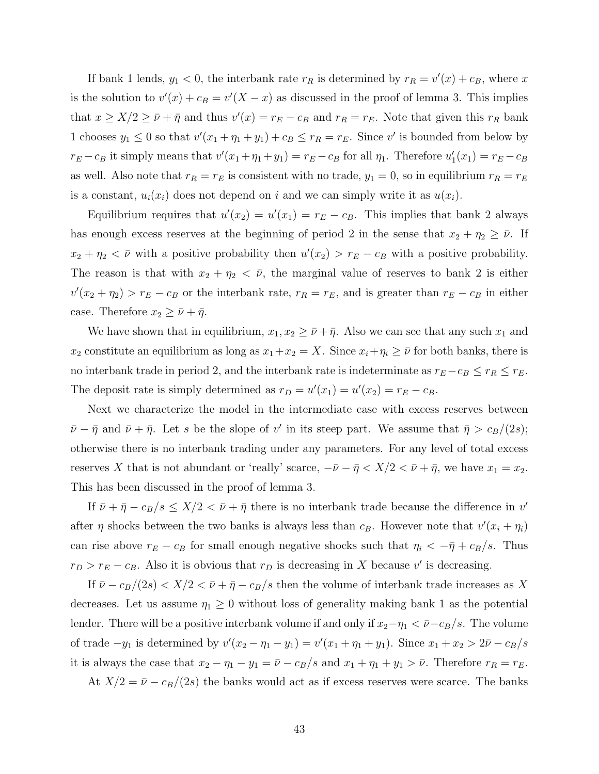If bank 1 lends,  $y_1 < 0$ , the interbank rate  $r_R$  is determined by  $r_R = v'(x) + c_B$ , where x is the solution to  $v'(x) + c_B = v'(X - x)$  as discussed in the proof of lemma 3. This implies that  $x \ge X/2 \ge \bar{\nu} + \bar{\eta}$  and thus  $v'(x) = r_E - c_B$  and  $r_R = r_E$ . Note that given this  $r_R$  bank 1 chooses  $y_1 \leq 0$  so that  $v'(x_1 + \eta_1 + y_1) + c_B \leq r_R = r_E$ . Since v' is bounded from below by  $r_E - c_B$  it simply means that  $v'(x_1 + \eta_1 + y_1) = r_E - c_B$  for all  $\eta_1$ . Therefore  $u'_1(x_1) = r_E - c_B$ as well. Also note that  $r_R = r_E$  is consistent with no trade,  $y_1 = 0$ , so in equilibrium  $r_R = r_E$ is a constant,  $u_i(x_i)$  does not depend on i and we can simply write it as  $u(x_i)$ .

Equilibrium requires that  $u'(x_2) = u'(x_1) = r_E - c_B$ . This implies that bank 2 always has enough excess reserves at the beginning of period 2 in the sense that  $x_2 + \eta_2 \geq \bar{\nu}$ . If  $x_2 + \eta_2 < \bar{\nu}$  with a positive probability then  $u'(x_2) > r_E - c_B$  with a positive probability. The reason is that with  $x_2 + \eta_2 < \bar{\nu}$ , the marginal value of reserves to bank 2 is either  $v'(x_2 + \eta_2) > r_E - c_B$  or the interbank rate,  $r_R = r_E$ , and is greater than  $r_E - c_B$  in either case. Therefore  $x_2 \geq \bar{\nu} + \bar{\eta}$ .

We have shown that in equilibrium,  $x_1, x_2 \geq \bar{\nu} + \bar{\eta}$ . Also we can see that any such  $x_1$  and  $x_2$  constitute an equilibrium as long as  $x_1+x_2=X$ . Since  $x_i+\eta_i\geq \bar{\nu}$  for both banks, there is no interbank trade in period 2, and the interbank rate is indeterminate as  $r_E - c_B \le r_R \le r_E$ . The deposit rate is simply determined as  $r_D = u'(x_1) = u'(x_2) = r_E - c_B$ .

Next we characterize the model in the intermediate case with excess reserves between  $\bar{\nu}-\bar{\eta}$  and  $\bar{\nu}+\bar{\eta}$ . Let s be the slope of v' in its steep part. We assume that  $\bar{\eta} > c_B/(2s)$ ; otherwise there is no interbank trading under any parameters. For any level of total excess reserves X that is not abundant or 'really' scarce,  $-\bar{\nu}-\bar{\eta} < X/2 < \bar{\nu}+\bar{\eta}$ , we have  $x_1 = x_2$ . This has been discussed in the proof of lemma 3.

If  $\bar{\nu} + \bar{\eta} - c_B/s \leq X/2 < \bar{\nu} + \bar{\eta}$  there is no interbank trade because the difference in  $v'$ after  $\eta$  shocks between the two banks is always less than  $c_B$ . However note that  $v'(x_i + \eta_i)$ can rise above  $r_E - c_B$  for small enough negative shocks such that  $\eta_i < -\bar{\eta} + c_B/s$ . Thus  $r_D > r_E - c_B$ . Also it is obvious that  $r_D$  is decreasing in X because v' is decreasing.

If  $\bar{\nu} - c_B/(2s) < X/2 < \bar{\nu} + \bar{\eta} - c_B/s$  then the volume of interbank trade increases as X decreases. Let us assume  $\eta_1 \geq 0$  without loss of generality making bank 1 as the potential lender. There will be a positive interbank volume if and only if  $x_2-\eta_1 < \bar{\nu}-c_B/s$ . The volume of trade  $-y_1$  is determined by  $v'(x_2 - \eta_1 - y_1) = v'(x_1 + \eta_1 + y_1)$ . Since  $x_1 + x_2 > 2\bar{\nu} - c_B/s$ it is always the case that  $x_2 - \eta_1 - y_1 = \bar{\nu} - c_B/s$  and  $x_1 + \eta_1 + y_1 > \bar{\nu}$ . Therefore  $r_R = r_E$ .

At  $X/2 = \bar{\nu} - c_B/(2s)$  the banks would act as if excess reserves were scarce. The banks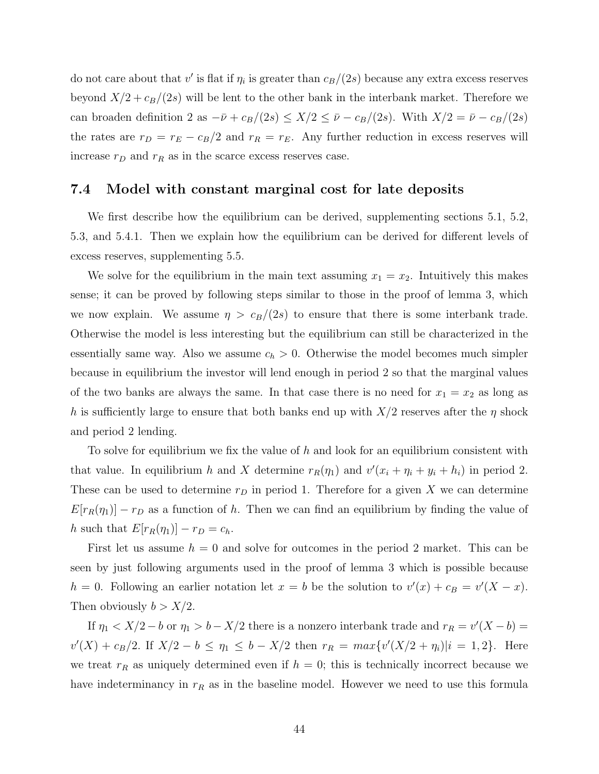do not care about that  $v'$  is flat if  $\eta_i$  is greater than  $c_B/(2s)$  because any extra excess reserves beyond  $X/2 + c_B/(2s)$  will be lent to the other bank in the interbank market. Therefore we can broaden definition 2 as  $-\bar{\nu} + c_B/(2s) \leq X/2 \leq \bar{\nu} - c_B/(2s)$ . With  $X/2 = \bar{\nu} - c_B/(2s)$ the rates are  $r_D = r_E - c_B/2$  and  $r_R = r_E$ . Any further reduction in excess reserves will increase  $r_D$  and  $r_R$  as in the scarce excess reserves case.

#### 7.4 Model with constant marginal cost for late deposits

We first describe how the equilibrium can be derived, supplementing sections 5.1, 5.2, 5.3, and 5.4.1. Then we explain how the equilibrium can be derived for different levels of excess reserves, supplementing 5.5.

We solve for the equilibrium in the main text assuming  $x_1 = x_2$ . Intuitively this makes sense; it can be proved by following steps similar to those in the proof of lemma 3, which we now explain. We assume  $\eta > c_B/(2s)$  to ensure that there is some interbank trade. Otherwise the model is less interesting but the equilibrium can still be characterized in the essentially same way. Also we assume  $c_h > 0$ . Otherwise the model becomes much simpler because in equilibrium the investor will lend enough in period 2 so that the marginal values of the two banks are always the same. In that case there is no need for  $x_1 = x_2$  as long as h is sufficiently large to ensure that both banks end up with  $X/2$  reserves after the  $\eta$  shock and period 2 lending.

To solve for equilibrium we fix the value of h and look for an equilibrium consistent with that value. In equilibrium h and X determine  $r_R(\eta_1)$  and  $v'(x_i + \eta_i + y_i + h_i)$  in period 2. These can be used to determine  $r_D$  in period 1. Therefore for a given X we can determine  $E[r_R(\eta_1)] - r_D$  as a function of h. Then we can find an equilibrium by finding the value of h such that  $E[r_R(\eta_1)] - r_D = c_h$ .

First let us assume  $h = 0$  and solve for outcomes in the period 2 market. This can be seen by just following arguments used in the proof of lemma 3 which is possible because  $h = 0$ . Following an earlier notation let  $x = b$  be the solution to  $v'(x) + c_B = v'(X - x)$ . Then obviously  $b > X/2$ .

If  $\eta_1 < X/2 - b$  or  $\eta_1 > b - X/2$  there is a nonzero interbank trade and  $r_R = v'(X - b) =$  $v'(X) + c_B/2$ . If  $X/2 - b \leq \eta_1 \leq b - X/2$  then  $r_R = max\{v'(X/2 + \eta_i)|i = 1, 2\}$ . Here we treat  $r_R$  as uniquely determined even if  $h = 0$ ; this is technically incorrect because we have indeterminancy in  $r_R$  as in the baseline model. However we need to use this formula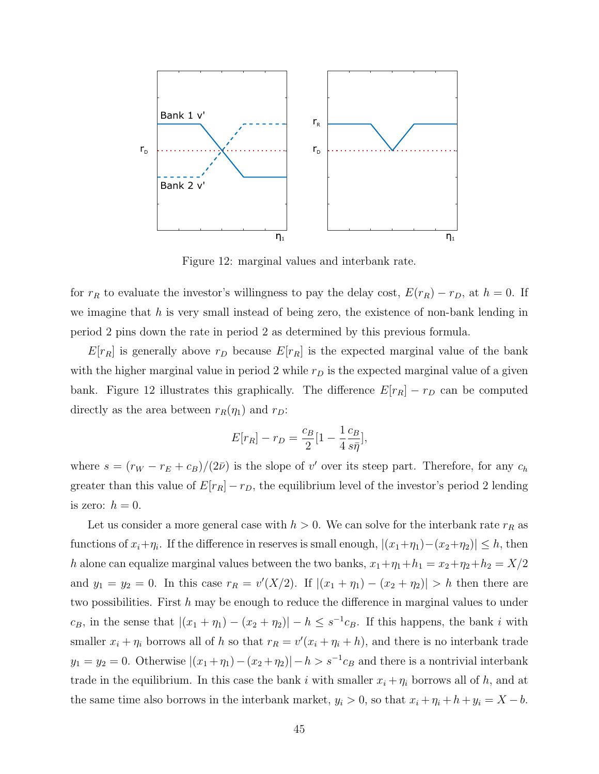

Figure 12: marginal values and interbank rate.

for  $r_R$  to evaluate the investor's willingness to pay the delay cost,  $E(r_R) - r_D$ , at  $h = 0$ . If we imagine that  $h$  is very small instead of being zero, the existence of non-bank lending in period 2 pins down the rate in period 2 as determined by this previous formula.

 $E[r_R]$  is generally above  $r_D$  because  $E[r_R]$  is the expected marginal value of the bank with the higher marginal value in period 2 while  $r<sub>D</sub>$  is the expected marginal value of a given bank. Figure 12 illustrates this graphically. The difference  $E[r_R] - r_D$  can be computed directly as the area between  $r_R(\eta_1)$  and  $r_D$ :

$$
E[r_R] - r_D = \frac{c_B}{2} [1 - \frac{1}{4} \frac{c_B}{s\bar{\eta}}],
$$

where  $s = (r_W - r_E + c_B)/(2\bar{\nu})$  is the slope of v' over its steep part. Therefore, for any  $c_h$ greater than this value of  $E[r_R] - r_D$ , the equilibrium level of the investor's period 2 lending is zero:  $h = 0$ .

Let us consider a more general case with  $h > 0$ . We can solve for the interbank rate  $r_R$  as functions of  $x_i + \eta_i$ . If the difference in reserves is small enough,  $|(x_1 + \eta_1) - (x_2 + \eta_2)| \leq h$ , then h alone can equalize marginal values between the two banks,  $x_1 + \eta_1 + h_1 = x_2 + \eta_2 + h_2 = X/2$ and  $y_1 = y_2 = 0$ . In this case  $r_R = v'(X/2)$ . If  $|(x_1 + \eta_1) - (x_2 + \eta_2)| > h$  then there are two possibilities. First  $h$  may be enough to reduce the difference in marginal values to under  $c_B$ , in the sense that  $|(x_1 + \eta_1) - (x_2 + \eta_2)| - h \leq s^{-1}c_B$ . If this happens, the bank i with smaller  $x_i + \eta_i$  borrows all of h so that  $r_R = v'(x_i + \eta_i + h)$ , and there is no interbank trade  $y_1 = y_2 = 0$ . Otherwise  $|(x_1 + \eta_1) - (x_2 + \eta_2)| - h > s^{-1}c_B$  and there is a nontrivial interbank trade in the equilibrium. In this case the bank i with smaller  $x_i + \eta_i$  borrows all of h, and at the same time also borrows in the interbank market,  $y_i > 0$ , so that  $x_i + \eta_i + h + y_i = X - b$ .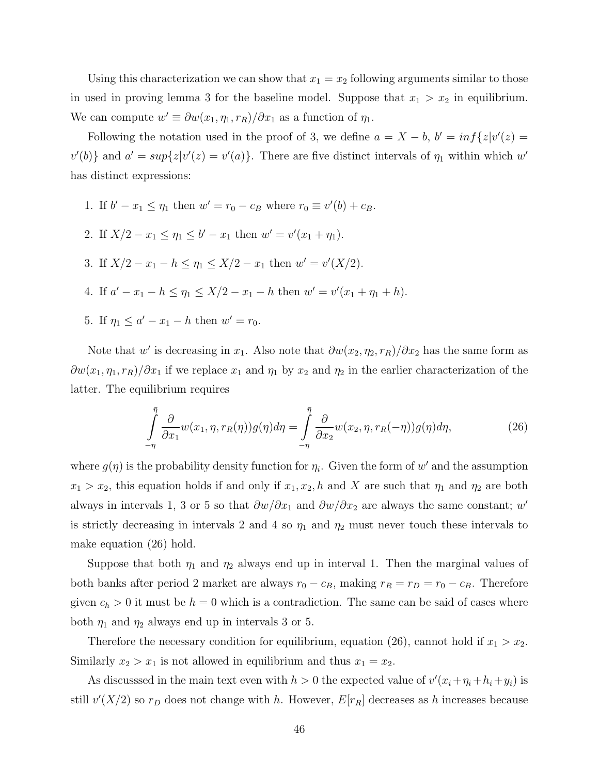Using this characterization we can show that  $x_1 = x_2$  following arguments similar to those in used in proving lemma 3 for the baseline model. Suppose that  $x_1 > x_2$  in equilibrium. We can compute  $w' \equiv \partial w(x_1, \eta_1, r_R)/\partial x_1$  as a function of  $\eta_1$ .

Following the notation used in the proof of 3, we define  $a = X - b$ ,  $b' = inf\{z|v'(z) =$  $v'(b)$ } and  $a' = sup\{z|v'(z) = v'(a)\}\.$  There are five distinct intervals of  $\eta_1$  within which w' has distinct expressions:

- 1. If  $b' x_1 \le \eta_1$  then  $w' = r_0 c_B$  where  $r_0 \equiv v'(b) + c_B$ .
- 2. If  $X/2 x_1 \leq \eta_1 \leq b' x_1$  then  $w' = v'(x_1 + \eta_1)$ .
- 3. If  $X/2 x_1 h \leq \eta_1 \leq X/2 x_1$  then  $w' = v'(X/2)$ .
- 4. If  $a'-x_1-h \leq \eta_1 \leq X/2-x_1-h$  then  $w'=v'(x_1+\eta_1+h)$ .
- 5. If  $\eta_1 \leq a' x_1 h$  then  $w' = r_0$ .

Note that w' is decreasing in  $x_1$ . Also note that  $\frac{\partial w(x_2, \eta_2, r_R)}{\partial x_2}$  has the same form as  $\frac{\partial w(x_1, \eta_1, r_R)}{\partial x_1}$  if we replace  $x_1$  and  $\eta_1$  by  $x_2$  and  $\eta_2$  in the earlier characterization of the latter. The equilibrium requires

$$
\int_{-\bar{\eta}}^{\bar{\eta}} \frac{\partial}{\partial x_1} w(x_1, \eta, r_R(\eta)) g(\eta) d\eta = \int_{-\bar{\eta}}^{\bar{\eta}} \frac{\partial}{\partial x_2} w(x_2, \eta, r_R(-\eta)) g(\eta) d\eta, \tag{26}
$$

where  $g(\eta)$  is the probability density function for  $\eta_i$ . Given the form of w' and the assumption  $x_1 > x_2$ , this equation holds if and only if  $x_1, x_2, h$  and X are such that  $\eta_1$  and  $\eta_2$  are both always in intervals 1, 3 or 5 so that  $\frac{\partial w}{\partial x_1}$  and  $\frac{\partial w}{\partial x_2}$  are always the same constant; w' is strictly decreasing in intervals 2 and 4 so  $\eta_1$  and  $\eta_2$  must never touch these intervals to make equation (26) hold.

Suppose that both  $\eta_1$  and  $\eta_2$  always end up in interval 1. Then the marginal values of both banks after period 2 market are always  $r_0 - c_B$ , making  $r_R = r_D = r_0 - c_B$ . Therefore given  $c_h > 0$  it must be  $h = 0$  which is a contradiction. The same can be said of cases where both  $\eta_1$  and  $\eta_2$  always end up in intervals 3 or 5.

Therefore the necessary condition for equilibrium, equation (26), cannot hold if  $x_1 > x_2$ . Similarly  $x_2 > x_1$  is not allowed in equilibrium and thus  $x_1 = x_2$ .

As discussed in the main text even with  $h > 0$  the expected value of  $v'(x_i + \eta_i + h_i + y_i)$  is still  $v'(X/2)$  so  $r_D$  does not change with h. However,  $E[r_R]$  decreases as h increases because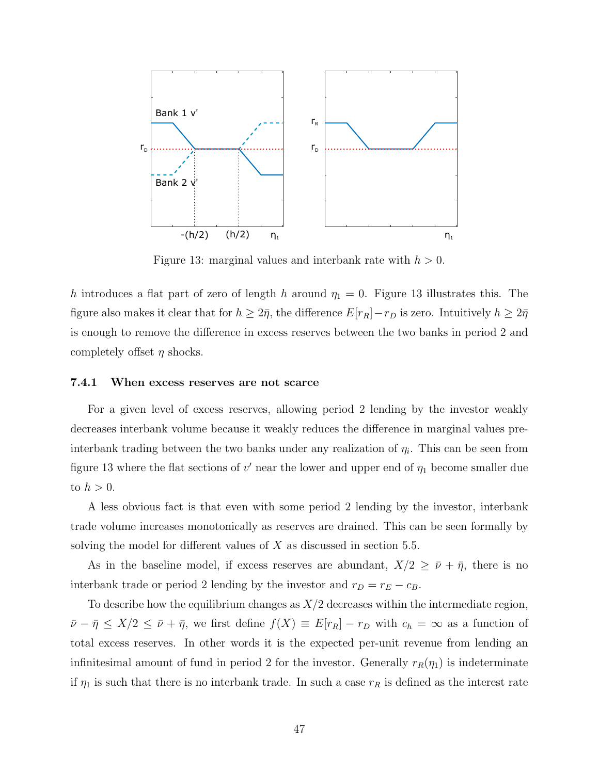

Figure 13: marginal values and interbank rate with  $h > 0$ .

h introduces a flat part of zero of length h around  $\eta_1 = 0$ . Figure 13 illustrates this. The figure also makes it clear that for  $h \geq 2\bar{\eta}$ , the difference  $E[r_R]-r_D$  is zero. Intuitively  $h \geq 2\bar{\eta}$ is enough to remove the difference in excess reserves between the two banks in period 2 and completely offset  $\eta$  shocks.

#### 7.4.1 When excess reserves are not scarce

For a given level of excess reserves, allowing period 2 lending by the investor weakly decreases interbank volume because it weakly reduces the difference in marginal values preinterbank trading between the two banks under any realization of  $\eta_i$ . This can be seen from figure 13 where the flat sections of  $v'$  near the lower and upper end of  $\eta_1$  become smaller due to  $h > 0$ .

A less obvious fact is that even with some period 2 lending by the investor, interbank trade volume increases monotonically as reserves are drained. This can be seen formally by solving the model for different values of  $X$  as discussed in section 5.5.

As in the baseline model, if excess reserves are abundant,  $X/2 \geq \bar{\nu} + \bar{\eta}$ , there is no interbank trade or period 2 lending by the investor and  $r_D = r_E - c_B$ .

To describe how the equilibrium changes as  $X/2$  decreases within the intermediate region,  $\bar{\nu}-\bar{\eta} \leq X/2 \leq \bar{\nu}+\bar{\eta}$ , we first define  $f(X) \equiv E[r_R] - r_D$  with  $c_h = \infty$  as a function of total excess reserves. In other words it is the expected per-unit revenue from lending an infinitesimal amount of fund in period 2 for the investor. Generally  $r_R(\eta_1)$  is indeterminate if  $\eta_1$  is such that there is no interbank trade. In such a case  $r_R$  is defined as the interest rate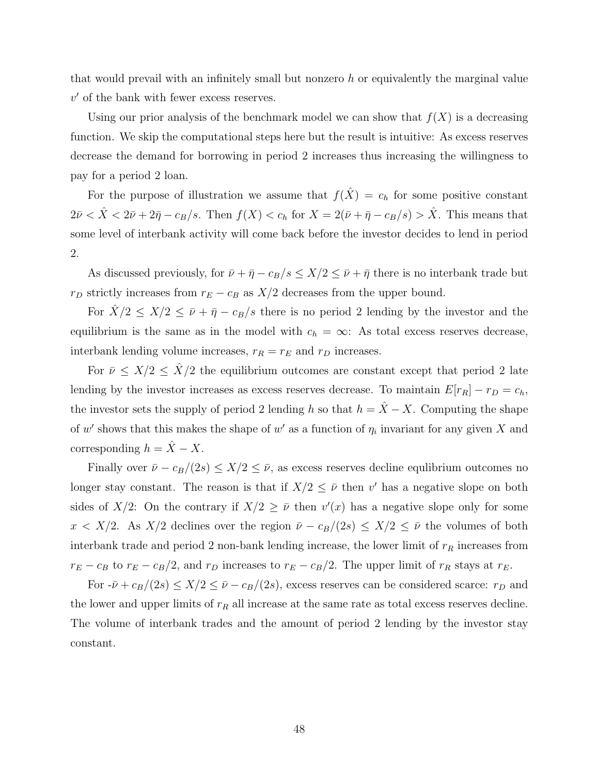that would prevail with an infinitely small but nonzero h or equivalently the marginal value  $v'$  of the bank with fewer excess reserves.

Using our prior analysis of the benchmark model we can show that  $f(X)$  is a decreasing function. We skip the computational steps here but the result is intuitive: As excess reserves decrease the demand for borrowing in period 2 increases thus increasing the willingness to pay for a period 2 loan.

For the purpose of illustration we assume that  $f(\hat{X}) = c_h$  for some positive constant  $2\bar{\nu} < \hat{X} < 2\bar{\nu} + 2\bar{\eta} - c_B/s$ . Then  $f(X) < c_h$  for  $X = 2(\bar{\nu} + \bar{\eta} - c_B/s) > \hat{X}$ . This means that some level of interbank activity will come back before the investor decides to lend in period 2.

As discussed previously, for  $\bar{\nu} + \bar{\eta} - c_B/s \leq X/2 \leq \bar{\nu} + \bar{\eta}$  there is no interbank trade but  $r_D$  strictly increases from  $r_E - c_B$  as  $X\!/2$  decreases from the upper bound.

For  $\hat{X}/2 \leq X/2 \leq \bar{\nu} + \bar{\eta} - c_B/s$  there is no period 2 lending by the investor and the equilibrium is the same as in the model with  $c_h = \infty$ : As total excess reserves decrease, interbank lending volume increases,  $r_R = r_E$  and  $r_D$  increases.

For  $\bar{\nu} \leq X/2 \leq \hat{X}/2$  the equilibrium outcomes are constant except that period 2 late lending by the investor increases as excess reserves decrease. To maintain  $E[r_R] - r_D = c_h$ , the investor sets the supply of period 2 lending h so that  $h = \hat{X} - X$ . Computing the shape of w' shows that this makes the shape of w' as a function of  $\eta_i$  invariant for any given X and corresponding  $h = \hat{X} - X$ .

Finally over  $\bar{\nu} - c_B/(2s) \leq X/2 \leq \bar{\nu}$ , as excess reserves decline equlibrium outcomes no longer stay constant. The reason is that if  $X/2 \leq \bar{\nu}$  then v' has a negative slope on both sides of X/2: On the contrary if  $X/2 \geq \bar{\nu}$  then  $v'(x)$  has a negative slope only for some  $x < X/2$ . As  $X/2$  declines over the region  $\bar{\nu} - c_B/(2s) \leq X/2 \leq \bar{\nu}$  the volumes of both interbank trade and period 2 non-bank lending increase, the lower limit of  $r_R$  increases from  $r_E - c_B$  to  $r_E - c_B/2$ , and  $r_D$  increases to  $r_E - c_B/2$ . The upper limit of  $r_R$  stays at  $r_E$ .

For  $-\bar{\nu} + c_B/(2s) \le X/2 \le \bar{\nu} - c_B/(2s)$ , excess reserves can be considered scarce:  $r_D$  and the lower and upper limits of  $r_R$  all increase at the same rate as total excess reserves decline. The volume of interbank trades and the amount of period 2 lending by the investor stay constant.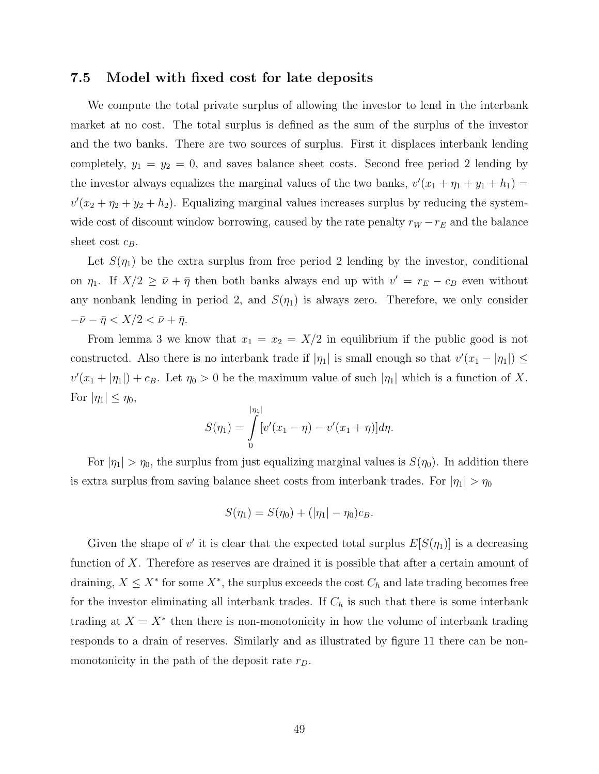#### 7.5 Model with fixed cost for late deposits

We compute the total private surplus of allowing the investor to lend in the interbank market at no cost. The total surplus is defined as the sum of the surplus of the investor and the two banks. There are two sources of surplus. First it displaces interbank lending completely,  $y_1 = y_2 = 0$ , and saves balance sheet costs. Second free period 2 lending by the investor always equalizes the marginal values of the two banks,  $v'(x_1 + \eta_1 + y_1 + h_1) =$  $v'(x_2 + \eta_2 + y_2 + h_2)$ . Equalizing marginal values increases surplus by reducing the systemwide cost of discount window borrowing, caused by the rate penalty  $r_W - r_E$  and the balance sheet cost  $c_B$ .

Let  $S(\eta_1)$  be the extra surplus from free period 2 lending by the investor, conditional on  $\eta_1$ . If  $X/2 \geq \bar{\nu} + \bar{\eta}$  then both banks always end up with  $v' = r_E - c_B$  even without any nonbank lending in period 2, and  $S(\eta_1)$  is always zero. Therefore, we only consider  $-\bar{\nu}-\bar{\eta} < X/2 < \bar{\nu}+\bar{\eta}.$ 

From lemma 3 we know that  $x_1 = x_2 = X/2$  in equilibrium if the public good is not constructed. Also there is no interbank trade if  $|\eta_1|$  is small enough so that  $v'(x_1 - |\eta_1|) \leq$  $v'(x_1+|\eta_1|)+c_B$ . Let  $\eta_0>0$  be the maximum value of such  $|\eta_1|$  which is a function of X. For  $|\eta_1| \leq \eta_0$ ,

$$
S(\eta_1) = \int_{0}^{|\eta_1|} [v'(x_1 - \eta) - v'(x_1 + \eta)] d\eta.
$$

For  $|\eta_1| > \eta_0$ , the surplus from just equalizing marginal values is  $S(\eta_0)$ . In addition there is extra surplus from saving balance sheet costs from interbank trades. For  $|\eta_1| > \eta_0$ 

$$
S(\eta_1) = S(\eta_0) + (|\eta_1| - \eta_0)c_B.
$$

Given the shape of  $v'$  it is clear that the expected total surplus  $E[S(\eta_1)]$  is a decreasing function of  $X$ . Therefore as reserves are drained it is possible that after a certain amount of draining,  $X \leq X^*$  for some  $X^*$ , the surplus exceeds the cost  $C_h$  and late trading becomes free for the investor eliminating all interbank trades. If  $C_h$  is such that there is some interbank trading at  $X = X^*$  then there is non-monotonicity in how the volume of interbank trading responds to a drain of reserves. Similarly and as illustrated by figure 11 there can be nonmonotonicity in the path of the deposit rate  $r_D$ .